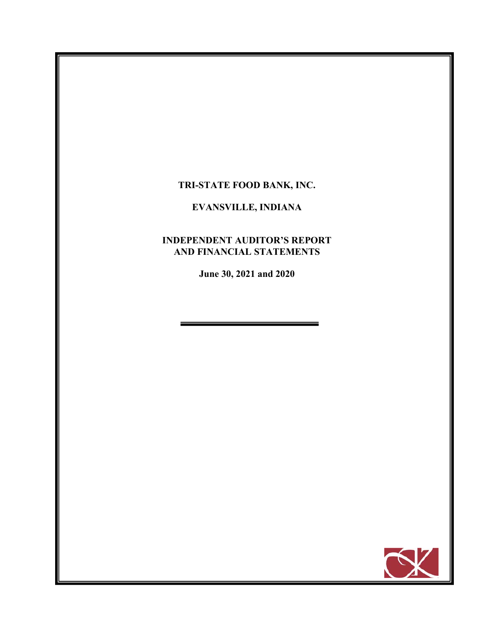#### **EVANSVILLE, INDIANA**

### **INDEPENDENT AUDITOR'S REPORT AND FINANCIAL STATEMENTS**

**June 30, 2021 and 2020**

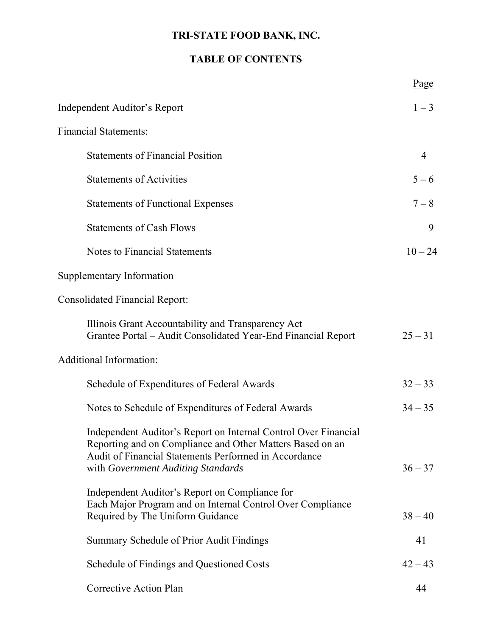# **TABLE OF CONTENTS**

|                                                                                                                                                                                                                             | Page      |
|-----------------------------------------------------------------------------------------------------------------------------------------------------------------------------------------------------------------------------|-----------|
| Independent Auditor's Report                                                                                                                                                                                                | $1 - 3$   |
| <b>Financial Statements:</b>                                                                                                                                                                                                |           |
| <b>Statements of Financial Position</b>                                                                                                                                                                                     | 4         |
| <b>Statements of Activities</b>                                                                                                                                                                                             | $5 - 6$   |
| <b>Statements of Functional Expenses</b>                                                                                                                                                                                    | $7 - 8$   |
| <b>Statements of Cash Flows</b>                                                                                                                                                                                             | 9         |
| <b>Notes to Financial Statements</b>                                                                                                                                                                                        | $10 - 24$ |
| Supplementary Information                                                                                                                                                                                                   |           |
| <b>Consolidated Financial Report:</b>                                                                                                                                                                                       |           |
| Illinois Grant Accountability and Transparency Act<br>Grantee Portal - Audit Consolidated Year-End Financial Report                                                                                                         | $25 - 31$ |
| <b>Additional Information:</b>                                                                                                                                                                                              |           |
| Schedule of Expenditures of Federal Awards                                                                                                                                                                                  | $32 - 33$ |
| Notes to Schedule of Expenditures of Federal Awards                                                                                                                                                                         | $34 - 35$ |
| Independent Auditor's Report on Internal Control Over Financial<br>Reporting and on Compliance and Other Matters Based on an<br>Audit of Financial Statements Performed in Accordance<br>with Government Auditing Standards | $36 - 37$ |
| Independent Auditor's Report on Compliance for<br>Each Major Program and on Internal Control Over Compliance<br>Required by The Uniform Guidance                                                                            | $38 - 40$ |
| Summary Schedule of Prior Audit Findings                                                                                                                                                                                    | 41        |
| Schedule of Findings and Questioned Costs                                                                                                                                                                                   | $42 - 43$ |
| Corrective Action Plan                                                                                                                                                                                                      | 44        |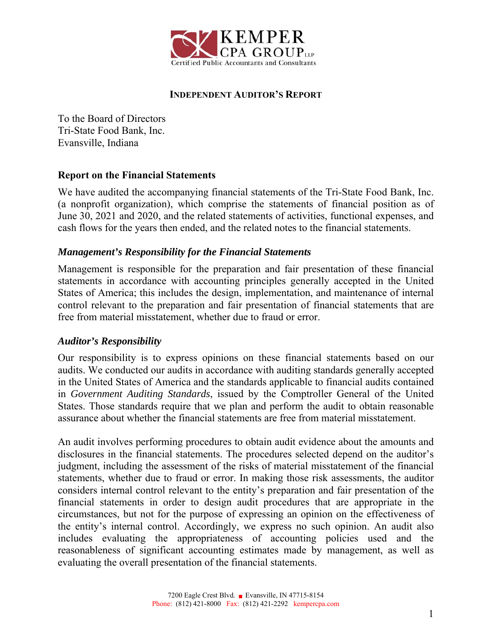

#### **INDEPENDENT AUDITOR'S REPORT**

To the Board of Directors Tri-State Food Bank, Inc. Evansville, Indiana

#### **Report on the Financial Statements**

We have audited the accompanying financial statements of the Tri-State Food Bank, Inc. (a nonprofit organization), which comprise the statements of financial position as of June 30, 2021 and 2020, and the related statements of activities, functional expenses, and cash flows for the years then ended, and the related notes to the financial statements.

#### *Management's Responsibility for the Financial Statements*

Management is responsible for the preparation and fair presentation of these financial statements in accordance with accounting principles generally accepted in the United States of America; this includes the design, implementation, and maintenance of internal control relevant to the preparation and fair presentation of financial statements that are free from material misstatement, whether due to fraud or error.

#### *Auditor's Responsibility*

Our responsibility is to express opinions on these financial statements based on our audits. We conducted our audits in accordance with auditing standards generally accepted in the United States of America and the standards applicable to financial audits contained in *Government Auditing Standards*, issued by the Comptroller General of the United States. Those standards require that we plan and perform the audit to obtain reasonable assurance about whether the financial statements are free from material misstatement.

An audit involves performing procedures to obtain audit evidence about the amounts and disclosures in the financial statements. The procedures selected depend on the auditor's judgment, including the assessment of the risks of material misstatement of the financial statements, whether due to fraud or error. In making those risk assessments, the auditor considers internal control relevant to the entity's preparation and fair presentation of the financial statements in order to design audit procedures that are appropriate in the circumstances, but not for the purpose of expressing an opinion on the effectiveness of the entity's internal control. Accordingly, we express no such opinion. An audit also includes evaluating the appropriateness of accounting policies used and the reasonableness of significant accounting estimates made by management, as well as evaluating the overall presentation of the financial statements.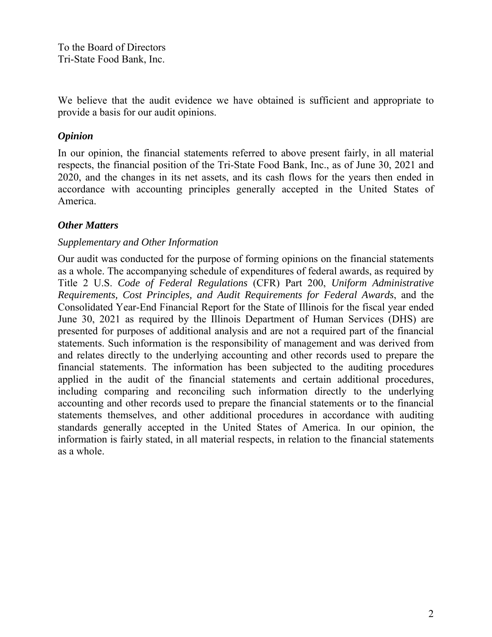To the Board of Directors Tri-State Food Bank, Inc.

We believe that the audit evidence we have obtained is sufficient and appropriate to provide a basis for our audit opinions.

### *Opinion*

In our opinion, the financial statements referred to above present fairly, in all material respects, the financial position of the Tri-State Food Bank, Inc., as of June 30, 2021 and 2020, and the changes in its net assets, and its cash flows for the years then ended in accordance with accounting principles generally accepted in the United States of America.

### *Other Matters*

### *Supplementary and Other Information*

Our audit was conducted for the purpose of forming opinions on the financial statements as a whole. The accompanying schedule of expenditures of federal awards, as required by Title 2 U.S. *Code of Federal Regulations* (CFR) Part 200, *Uniform Administrative Requirements, Cost Principles, and Audit Requirements for Federal Awards*, and the Consolidated Year-End Financial Report for the State of Illinois for the fiscal year ended June 30, 2021 as required by the Illinois Department of Human Services (DHS) are presented for purposes of additional analysis and are not a required part of the financial statements. Such information is the responsibility of management and was derived from and relates directly to the underlying accounting and other records used to prepare the financial statements. The information has been subjected to the auditing procedures applied in the audit of the financial statements and certain additional procedures, including comparing and reconciling such information directly to the underlying accounting and other records used to prepare the financial statements or to the financial statements themselves, and other additional procedures in accordance with auditing standards generally accepted in the United States of America. In our opinion, the information is fairly stated, in all material respects, in relation to the financial statements as a whole.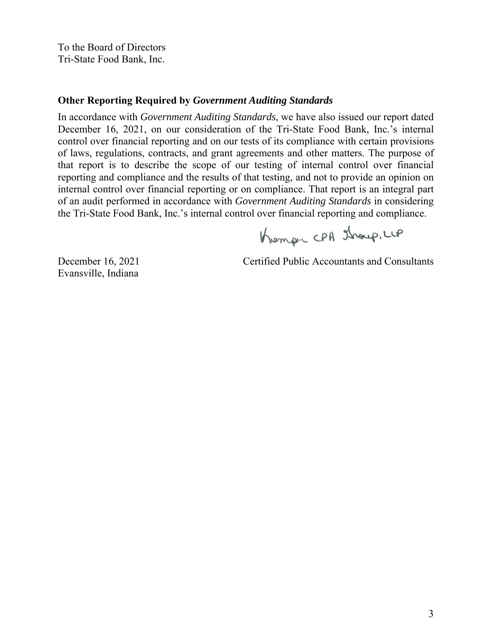To the Board of Directors Tri-State Food Bank, Inc.

#### **Other Reporting Required by** *Government Auditing Standards*

In accordance with *Government Auditing Standards*, we have also issued our report dated December 16, 2021, on our consideration of the Tri-State Food Bank, Inc.'s internal control over financial reporting and on our tests of its compliance with certain provisions of laws, regulations, contracts, and grant agreements and other matters. The purpose of that report is to describe the scope of our testing of internal control over financial reporting and compliance and the results of that testing, and not to provide an opinion on internal control over financial reporting or on compliance. That report is an integral part of an audit performed in accordance with *Government Auditing Standards* in considering the Tri-State Food Bank, Inc.'s internal control over financial reporting and compliance.

Kemper CPA though up

Evansville, Indiana

December 16, 2021 Certified Public Accountants and Consultants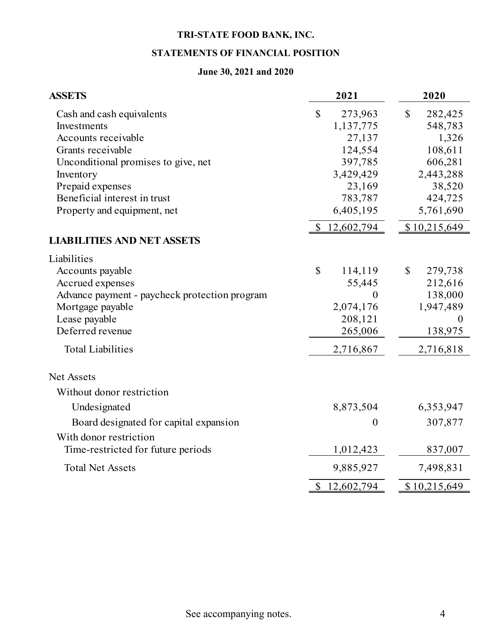# **STATEMENTS OF FINANCIAL POSITION**

### **June 30, 2021 and 2020**

| <b>ASSETS</b>                                 | 2021                    | 2020                    |
|-----------------------------------------------|-------------------------|-------------------------|
| Cash and cash equivalents                     | $\mathbb{S}$<br>273,963 | $\mathbb{S}$<br>282,425 |
| Investments                                   | 1,137,775               | 548,783                 |
| Accounts receivable                           | 27,137                  | 1,326                   |
| Grants receivable                             | 124,554                 | 108,611                 |
| Unconditional promises to give, net           | 397,785                 | 606,281                 |
| Inventory                                     | 3,429,429               | 2,443,288               |
| Prepaid expenses                              | 23,169                  | 38,520                  |
| Beneficial interest in trust                  | 783,787                 | 424,725                 |
| Property and equipment, net                   | 6,405,195               | 5,761,690               |
|                                               | 12,602,794              | \$10,215,649            |
| <b>LIABILITIES AND NET ASSETS</b>             |                         |                         |
| Liabilities                                   |                         |                         |
| Accounts payable                              | \$<br>114,119           | \$<br>279,738           |
| Accrued expenses                              | 55,445                  | 212,616                 |
| Advance payment - paycheck protection program | $\overline{0}$          | 138,000                 |
| Mortgage payable                              | 2,074,176               | 1,947,489               |
| Lease payable                                 | 208,121                 | 0                       |
| Deferred revenue                              | 265,006                 | 138,975                 |
| <b>Total Liabilities</b>                      | 2,716,867               | 2,716,818               |
| Net Assets                                    |                         |                         |
| Without donor restriction                     |                         |                         |
| Undesignated                                  | 8,873,504               | 6,353,947               |
| Board designated for capital expansion        | $\boldsymbol{0}$        | 307,877                 |
| With donor restriction                        |                         |                         |
| Time-restricted for future periods            | 1,012,423               | 837,007                 |
| <b>Total Net Assets</b>                       | 9,885,927               | 7,498,831               |
|                                               | \$12,602,794            | \$10,215,649            |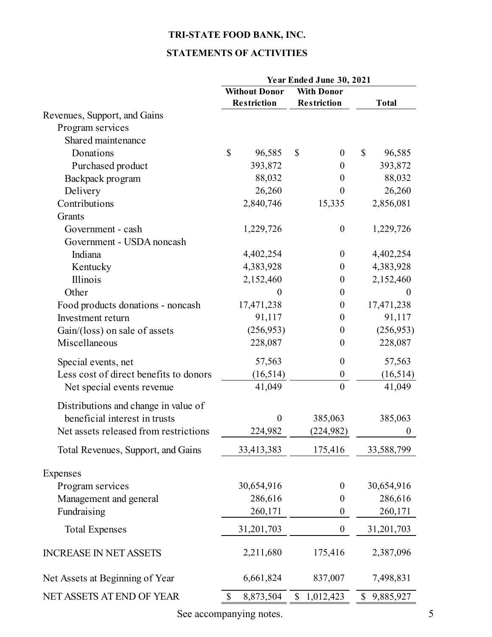### **STATEMENTS OF ACTIVITIES**

|                                        | Year Ended June 30, 2021  |                           |                  |  |
|----------------------------------------|---------------------------|---------------------------|------------------|--|
| <b>Without Donor</b>                   |                           | <b>With Donor</b>         |                  |  |
|                                        | <b>Restriction</b>        | <b>Restriction</b>        | <b>Total</b>     |  |
| Revenues, Support, and Gains           |                           |                           |                  |  |
| Program services                       |                           |                           |                  |  |
| Shared maintenance                     |                           |                           |                  |  |
| Donations                              | \$<br>96,585              | \$<br>$\overline{0}$      | \$<br>96,585     |  |
| Purchased product                      | 393,872                   | $\overline{0}$            | 393,872          |  |
| Backpack program                       | 88,032                    | $\theta$                  | 88,032           |  |
| Delivery                               | 26,260                    | $\boldsymbol{0}$          | 26,260           |  |
| Contributions                          | 2,840,746                 | 15,335                    | 2,856,081        |  |
| Grants                                 |                           |                           |                  |  |
| Government - cash                      | 1,229,726                 | $\boldsymbol{0}$          | 1,229,726        |  |
| Government - USDA noncash              |                           |                           |                  |  |
| Indiana                                | 4,402,254                 | $\boldsymbol{0}$          | 4,402,254        |  |
| Kentucky                               | 4,383,928                 | $\boldsymbol{0}$          | 4,383,928        |  |
| Illinois                               | 2,152,460                 | $\theta$                  | 2,152,460        |  |
| Other                                  | $\theta$                  | $\boldsymbol{0}$          | $\overline{0}$   |  |
| Food products donations - noncash      | 17,471,238                | $\boldsymbol{0}$          | 17,471,238       |  |
| Investment return                      | 91,117                    | $\boldsymbol{0}$          | 91,117           |  |
| Gain/(loss) on sale of assets          | (256, 953)                | $\boldsymbol{0}$          | (256, 953)       |  |
| Miscellaneous                          | 228,087                   | $\boldsymbol{0}$          | 228,087          |  |
| Special events, net                    | 57,563                    | $\boldsymbol{0}$          | 57,563           |  |
| Less cost of direct benefits to donors | (16,514)                  | $\boldsymbol{0}$          | (16, 514)        |  |
| Net special events revenue             | 41,049                    | $\boldsymbol{0}$          | 41,049           |  |
| Distributions and change in value of   |                           |                           |                  |  |
| beneficial interest in trusts          | $\boldsymbol{0}$          | 385,063                   | 385,063          |  |
| Net assets released from restrictions  | 224,982                   | (224,982)                 | $\boldsymbol{0}$ |  |
| Total Revenues, Support, and Gains     | 33,413,383                | 175,416                   | 33,588,799       |  |
| Expenses                               |                           |                           |                  |  |
| Program services                       | 30,654,916                | $\boldsymbol{0}$          | 30,654,916       |  |
| Management and general                 | 286,616                   | $\boldsymbol{0}$          | 286,616          |  |
| Fundraising                            | 260,171                   | $\boldsymbol{0}$          | 260,171          |  |
|                                        |                           |                           |                  |  |
| <b>Total Expenses</b>                  | 31,201,703                | $\boldsymbol{0}$          | 31,201,703       |  |
| <b>INCREASE IN NET ASSETS</b>          | 2,211,680                 | 175,416                   | 2,387,096        |  |
| Net Assets at Beginning of Year        | 6,661,824                 | 837,007                   | 7,498,831        |  |
| NET ASSETS AT END OF YEAR              | $\mathbb{S}$<br>8,873,504 | 1,012,423<br>$\mathbb{S}$ | \$9,885,927      |  |

See accompanying notes. 5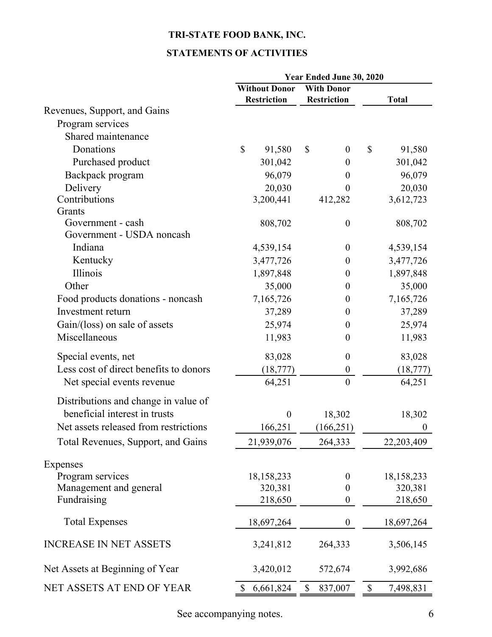### **STATEMENTS OF ACTIVITIES**

|                                        | Year Ended June 30, 2020 |                        |                  |
|----------------------------------------|--------------------------|------------------------|------------------|
|                                        | <b>Without Donor</b>     | <b>With Donor</b>      |                  |
|                                        | <b>Restriction</b>       | <b>Restriction</b>     | <b>Total</b>     |
| Revenues, Support, and Gains           |                          |                        |                  |
| Program services                       |                          |                        |                  |
| Shared maintenance                     |                          |                        |                  |
| Donations                              | \$<br>91,580             | \$<br>$\boldsymbol{0}$ | \$<br>91,580     |
| Purchased product                      | 301,042                  | $\theta$               | 301,042          |
| Backpack program                       | 96,079                   | $\boldsymbol{0}$       | 96,079           |
| Delivery                               | 20,030                   | $\boldsymbol{0}$       | 20,030           |
| Contributions                          | 3,200,441                | 412,282                | 3,612,723        |
| Grants                                 |                          |                        |                  |
| Government - cash                      | 808,702                  | $\boldsymbol{0}$       | 808,702          |
| Government - USDA noncash              |                          |                        |                  |
| Indiana                                | 4,539,154                | $\boldsymbol{0}$       | 4,539,154        |
| Kentucky                               | 3,477,726                | $\boldsymbol{0}$       | 3,477,726        |
| Illinois                               | 1,897,848                | $\boldsymbol{0}$       | 1,897,848        |
| Other                                  | 35,000                   | $\boldsymbol{0}$       | 35,000           |
| Food products donations - noncash      | 7,165,726                | $\boldsymbol{0}$       | 7,165,726        |
| Investment return                      | 37,289                   | $\boldsymbol{0}$       | 37,289           |
| Gain/(loss) on sale of assets          | 25,974                   | $\boldsymbol{0}$       | 25,974           |
| Miscellaneous                          | 11,983                   | $\boldsymbol{0}$       | 11,983           |
| Special events, net                    | 83,028                   | $\boldsymbol{0}$       | 83,028           |
| Less cost of direct benefits to donors | (18, 777)                | $\boldsymbol{0}$       | (18, 777)        |
| Net special events revenue             | 64,251                   | $\boldsymbol{0}$       | 64,251           |
| Distributions and change in value of   |                          |                        |                  |
| beneficial interest in trusts          | $\boldsymbol{0}$         | 18,302                 | 18,302           |
| Net assets released from restrictions  | 166,251                  | (166, 251)             | $\boldsymbol{0}$ |
| Total Revenues, Support, and Gains     | 21,939,076               | 264,333                | 22,203,409       |
| Expenses                               |                          |                        |                  |
| Program services                       | 18,158,233               | $\boldsymbol{0}$       | 18,158,233       |
| Management and general                 | 320,381                  | $\boldsymbol{0}$       | 320,381          |
| Fundraising                            | 218,650                  | $\boldsymbol{0}$       | 218,650          |
| <b>Total Expenses</b>                  | 18,697,264               | $\boldsymbol{0}$       | 18,697,264       |
| <b>INCREASE IN NET ASSETS</b>          | 3,241,812                | 264,333                | 3,506,145        |
| Net Assets at Beginning of Year        | 3,420,012                | 572,674                | 3,992,686        |
| NET ASSETS AT END OF YEAR              | 6,661,824                | \$<br>837,007          | \$<br>7,498,831  |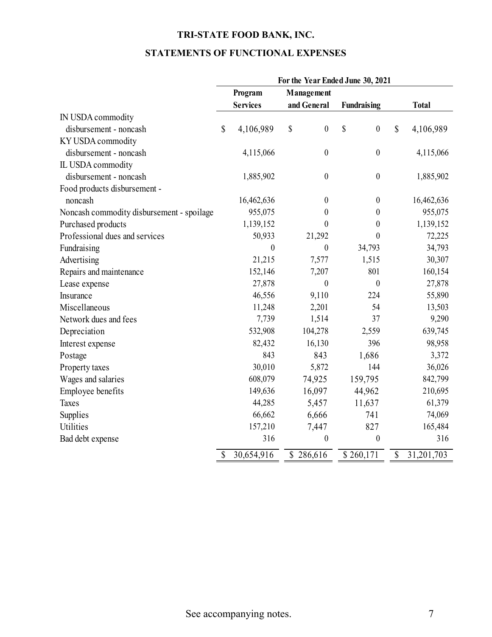# **STATEMENTS OF FUNCTIONAL EXPENSES**

|                                           | For the Year Ended June 30, 2021 |                  |                           |                  |                        |    |              |
|-------------------------------------------|----------------------------------|------------------|---------------------------|------------------|------------------------|----|--------------|
|                                           | Program                          |                  |                           | Management       |                        |    |              |
|                                           |                                  | <b>Services</b>  |                           | and General      | <b>Fundraising</b>     |    | <b>Total</b> |
| IN USDA commodity                         |                                  |                  |                           |                  |                        |    |              |
| disbursement - noncash                    | \$                               | 4,106,989        | $\boldsymbol{\mathbb{S}}$ | $\boldsymbol{0}$ | \$<br>$\boldsymbol{0}$ | \$ | 4,106,989    |
| KY USDA commodity                         |                                  |                  |                           |                  |                        |    |              |
| disbursement - noncash                    |                                  | 4,115,066        |                           | $\boldsymbol{0}$ | $\boldsymbol{0}$       |    | 4,115,066    |
| IL USDA commodity                         |                                  |                  |                           |                  |                        |    |              |
| disbursement - noncash                    |                                  | 1,885,902        |                           | $\boldsymbol{0}$ | $\boldsymbol{0}$       |    | 1,885,902    |
| Food products disbursement -              |                                  |                  |                           |                  |                        |    |              |
| noncash                                   |                                  | 16,462,636       |                           | $\boldsymbol{0}$ | $\boldsymbol{0}$       |    | 16,462,636   |
| Noncash commodity disbursement - spoilage |                                  | 955,075          |                           | $\boldsymbol{0}$ | $\theta$               |    | 955,075      |
| Purchased products                        |                                  | 1,139,152        |                           | 0                | $\boldsymbol{0}$       |    | 1,139,152    |
| Professional dues and services            |                                  | 50,933           |                           | 21,292           | $\boldsymbol{0}$       |    | 72,225       |
| Fundraising                               |                                  | $\boldsymbol{0}$ |                           | $\boldsymbol{0}$ | 34,793                 |    | 34,793       |
| Advertising                               |                                  | 21,215           |                           | 7,577            | 1,515                  |    | 30,307       |
| Repairs and maintenance                   |                                  | 152,146          |                           | 7,207            | 801                    |    | 160,154      |
| Lease expense                             |                                  | 27,878           |                           | $\theta$         | $\boldsymbol{0}$       |    | 27,878       |
| Insurance                                 |                                  | 46,556           |                           | 9,110            | 224                    |    | 55,890       |
| Miscellaneous                             |                                  | 11,248           |                           | 2,201            | 54                     |    | 13,503       |
| Network dues and fees                     |                                  | 7,739            |                           | 1,514            | 37                     |    | 9,290        |
| Depreciation                              |                                  | 532,908          |                           | 104,278          | 2,559                  |    | 639,745      |
| Interest expense                          |                                  | 82,432           |                           | 16,130           | 396                    |    | 98,958       |
| Postage                                   |                                  | 843              |                           | 843              | 1,686                  |    | 3,372        |
| Property taxes                            |                                  | 30,010           |                           | 5,872            | 144                    |    | 36,026       |
| Wages and salaries                        |                                  | 608,079          |                           | 74,925           | 159,795                |    | 842,799      |
| Employee benefits                         |                                  | 149,636          |                           | 16,097           | 44,962                 |    | 210,695      |
| <b>Taxes</b>                              |                                  | 44,285           |                           | 5,457            | 11,637                 |    | 61,379       |
| Supplies                                  |                                  | 66,662           |                           | 6,666            | 741                    |    | 74,069       |
| Utilities                                 |                                  | 157,210          |                           | 7,447            | 827                    |    | 165,484      |
| Bad debt expense                          |                                  | 316              |                           | $\boldsymbol{0}$ | $\boldsymbol{0}$       |    | 316          |
|                                           | \$                               | 30,654,916       |                           | \$286,616        | \$260,171              | \$ | 31,201,703   |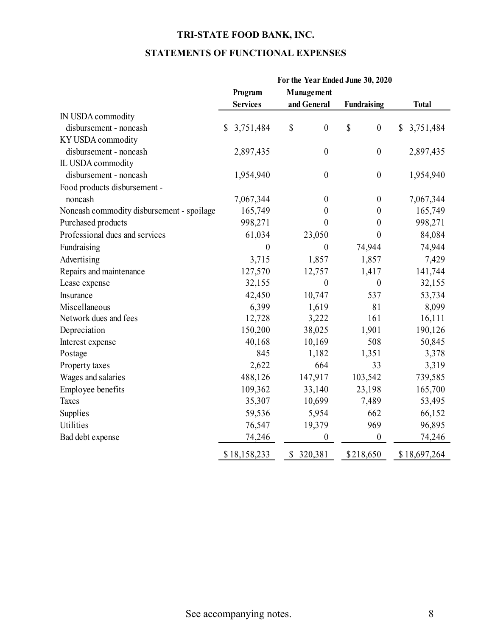# **STATEMENTS OF FUNCTIONAL EXPENSES**

|                                           | For the Year Ended June 30, 2020 |                        |                        |                 |
|-------------------------------------------|----------------------------------|------------------------|------------------------|-----------------|
|                                           | Program                          | Management             |                        |                 |
|                                           | <b>Services</b>                  | and General            | <b>Fundraising</b>     | <b>Total</b>    |
| IN USDA commodity                         |                                  |                        |                        |                 |
| disbursement - noncash                    | 3,751,484<br>\$                  | \$<br>$\boldsymbol{0}$ | \$<br>$\boldsymbol{0}$ | 3,751,484<br>\$ |
| KY USDA commodity                         |                                  |                        |                        |                 |
| disbursement - noncash                    | 2,897,435                        | $\boldsymbol{0}$       | $\boldsymbol{0}$       | 2,897,435       |
| IL USDA commodity                         |                                  |                        |                        |                 |
| disbursement - noncash                    | 1,954,940                        | $\boldsymbol{0}$       | $\boldsymbol{0}$       | 1,954,940       |
| Food products disbursement -              |                                  |                        |                        |                 |
| noncash                                   | 7,067,344                        | $\boldsymbol{0}$       | $\boldsymbol{0}$       | 7,067,344       |
| Noncash commodity disbursement - spoilage | 165,749                          | $\boldsymbol{0}$       | $\boldsymbol{0}$       | 165,749         |
| Purchased products                        | 998,271                          | $\overline{0}$         | $\mathbf{0}$           | 998,271         |
| Professional dues and services            | 61,034                           | 23,050                 | $\mathbf{0}$           | 84,084          |
| Fundraising                               | $\boldsymbol{0}$                 | $\boldsymbol{0}$       | 74,944                 | 74,944          |
| Advertising                               | 3,715                            | 1,857                  | 1,857                  | 7,429           |
| Repairs and maintenance                   | 127,570                          | 12,757                 | 1,417                  | 141,744         |
| Lease expense                             | 32,155                           | $\overline{0}$         | $\overline{0}$         | 32,155          |
| Insurance                                 | 42,450                           | 10,747                 | 537                    | 53,734          |
| Miscellaneous                             | 6,399                            | 1,619                  | 81                     | 8,099           |
| Network dues and fees                     | 12,728                           | 3,222                  | 161                    | 16,111          |
| Depreciation                              | 150,200                          | 38,025                 | 1,901                  | 190,126         |
| Interest expense                          | 40,168                           | 10,169                 | 508                    | 50,845          |
| Postage                                   | 845                              | 1,182                  | 1,351                  | 3,378           |
| Property taxes                            | 2,622                            | 664                    | 33                     | 3,319           |
| Wages and salaries                        | 488,126                          | 147,917                | 103,542                | 739,585         |
| Employee benefits                         | 109,362                          | 33,140                 | 23,198                 | 165,700         |
| Taxes                                     | 35,307                           | 10,699                 | 7,489                  | 53,495          |
| Supplies                                  | 59,536                           | 5,954                  | 662                    | 66,152          |
| Utilities                                 | 76,547                           | 19,379                 | 969                    | 96,895          |
| Bad debt expense                          | 74,246                           | $\boldsymbol{0}$       | $\boldsymbol{0}$       | 74,246          |
|                                           | \$18,158,233                     | \$ 320,381             | \$218,650              | \$18,697,264    |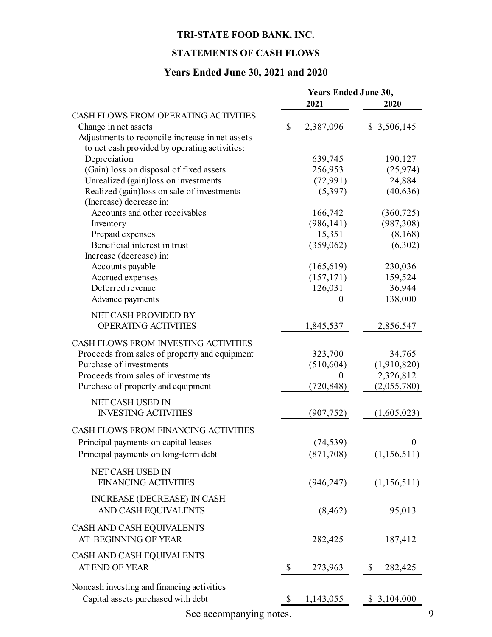# **STATEMENTS OF CASH FLOWS**

# **Years Ended June 30, 2021 and 2020**

|                                                 | <b>Years Ended June 30,</b> |            |                  |
|-------------------------------------------------|-----------------------------|------------|------------------|
|                                                 |                             | 2021       | 2020             |
| CASH FLOWS FROM OPERATING ACTIVITIES            |                             |            |                  |
| Change in net assets                            | \$                          | 2,387,096  | \$3,506,145      |
| Adjustments to reconcile increase in net assets |                             |            |                  |
| to net cash provided by operating activities:   |                             |            |                  |
| Depreciation                                    |                             | 639,745    | 190,127          |
| (Gain) loss on disposal of fixed assets         |                             | 256,953    | (25, 974)        |
| Unrealized (gain)loss on investments            |                             | (72,991)   | 24,884           |
| Realized (gain)loss on sale of investments      |                             | (5,397)    | (40,636)         |
| (Increase) decrease in:                         |                             |            |                  |
| Accounts and other receivables                  |                             | 166,742    | (360, 725)       |
| Inventory                                       |                             | (986, 141) | (987, 308)       |
| Prepaid expenses                                |                             | 15,351     | (8,168)          |
| Beneficial interest in trust                    |                             | (359,062)  | (6,302)          |
| Increase (decrease) in:                         |                             |            |                  |
| Accounts payable                                |                             | (165, 619) | 230,036          |
| Accrued expenses                                |                             | (157, 171) | 159,524          |
| Deferred revenue                                |                             | 126,031    | 36,944           |
| Advance payments                                |                             | $\theta$   | 138,000          |
| <b>NET CASH PROVIDED BY</b>                     |                             |            |                  |
| <b>OPERATING ACTIVITIES</b>                     |                             | 1,845,537  | 2,856,547        |
|                                                 |                             |            |                  |
| CASH FLOWS FROM INVESTING ACTIVITIES            |                             |            |                  |
| Proceeds from sales of property and equipment   |                             | 323,700    | 34,765           |
| Purchase of investments                         |                             | (510, 604) | (1,910,820)      |
| Proceeds from sales of investments              |                             | $\theta$   | 2,326,812        |
| Purchase of property and equipment              |                             | (720, 848) | (2,055,780)      |
| <b>NET CASH USED IN</b>                         |                             |            |                  |
| <b>INVESTING ACTIVITIES</b>                     |                             | (907, 752) | (1,605,023)      |
|                                                 |                             |            |                  |
| <b>CASH FLOWS FROM FINANCING ACTIVITIES</b>     |                             |            |                  |
| Principal payments on capital leases            |                             | (74, 539)  | $\boldsymbol{0}$ |
| Principal payments on long-term debt            |                             | (871, 708) | (1, 156, 511)    |
|                                                 |                             |            |                  |
| NET CASH USED IN<br><b>FINANCING ACTIVITIES</b> |                             |            |                  |
|                                                 |                             | (946, 247) | (1,156,511)      |
| <b>INCREASE (DECREASE) IN CASH</b>              |                             |            |                  |
| AND CASH EQUIVALENTS                            |                             | (8, 462)   | 95,013           |
|                                                 |                             |            |                  |
| CASH AND CASH EQUIVALENTS                       |                             |            |                  |
| AT BEGINNING OF YEAR                            |                             | 282,425    | 187,412          |
| CASH AND CASH EQUIVALENTS                       |                             |            |                  |
| AT END OF YEAR                                  | \$                          | 273,963    | \$<br>282,425    |
|                                                 |                             |            |                  |
| Noncash investing and financing activities      |                             |            |                  |
| Capital assets purchased with debt              | \$                          | 1,143,055  | \$ 3,104,000     |

See accompanying notes. 9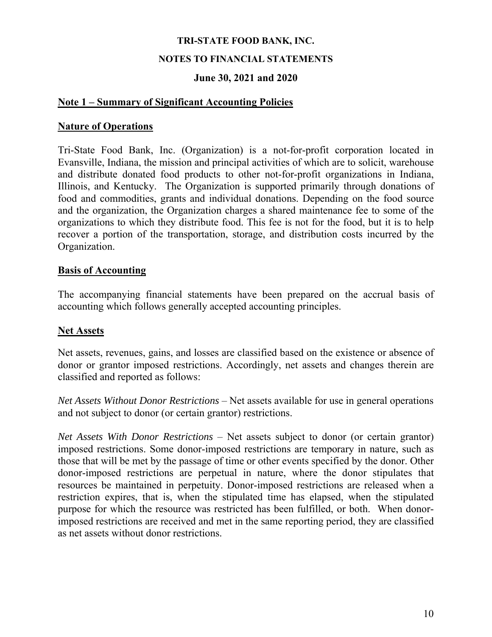#### **NOTES TO FINANCIAL STATEMENTS**

#### **June 30, 2021 and 2020**

#### **Note 1 – Summary of Significant Accounting Policies**

#### **Nature of Operations**

Tri-State Food Bank, Inc. (Organization) is a not-for-profit corporation located in Evansville, Indiana, the mission and principal activities of which are to solicit, warehouse and distribute donated food products to other not-for-profit organizations in Indiana, Illinois, and Kentucky. The Organization is supported primarily through donations of food and commodities, grants and individual donations. Depending on the food source and the organization, the Organization charges a shared maintenance fee to some of the organizations to which they distribute food. This fee is not for the food, but it is to help recover a portion of the transportation, storage, and distribution costs incurred by the Organization.

#### **Basis of Accounting**

The accompanying financial statements have been prepared on the accrual basis of accounting which follows generally accepted accounting principles.

#### **Net Assets**

Net assets, revenues, gains, and losses are classified based on the existence or absence of donor or grantor imposed restrictions. Accordingly, net assets and changes therein are classified and reported as follows:

*Net Assets Without Donor Restrictions* – Net assets available for use in general operations and not subject to donor (or certain grantor) restrictions.

*Net Assets With Donor Restrictions* – Net assets subject to donor (or certain grantor) imposed restrictions. Some donor-imposed restrictions are temporary in nature, such as those that will be met by the passage of time or other events specified by the donor. Other donor-imposed restrictions are perpetual in nature, where the donor stipulates that resources be maintained in perpetuity. Donor-imposed restrictions are released when a restriction expires, that is, when the stipulated time has elapsed, when the stipulated purpose for which the resource was restricted has been fulfilled, or both. When donorimposed restrictions are received and met in the same reporting period, they are classified as net assets without donor restrictions.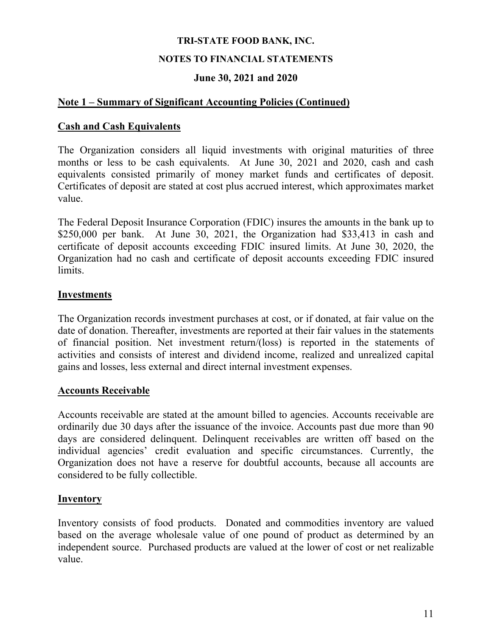### **NOTES TO FINANCIAL STATEMENTS**

### **June 30, 2021 and 2020**

### **Note 1 – Summary of Significant Accounting Policies (Continued)**

### **Cash and Cash Equivalents**

The Organization considers all liquid investments with original maturities of three months or less to be cash equivalents. At June 30, 2021 and 2020, cash and cash equivalents consisted primarily of money market funds and certificates of deposit. Certificates of deposit are stated at cost plus accrued interest, which approximates market value.

The Federal Deposit Insurance Corporation (FDIC) insures the amounts in the bank up to \$250,000 per bank. At June 30, 2021, the Organization had \$33,413 in cash and certificate of deposit accounts exceeding FDIC insured limits. At June 30, 2020, the Organization had no cash and certificate of deposit accounts exceeding FDIC insured limits.

### **Investments**

The Organization records investment purchases at cost, or if donated, at fair value on the date of donation. Thereafter, investments are reported at their fair values in the statements of financial position. Net investment return/(loss) is reported in the statements of activities and consists of interest and dividend income, realized and unrealized capital gains and losses, less external and direct internal investment expenses.

#### **Accounts Receivable**

Accounts receivable are stated at the amount billed to agencies. Accounts receivable are ordinarily due 30 days after the issuance of the invoice. Accounts past due more than 90 days are considered delinquent. Delinquent receivables are written off based on the individual agencies' credit evaluation and specific circumstances. Currently, the Organization does not have a reserve for doubtful accounts, because all accounts are considered to be fully collectible.

### **Inventory**

Inventory consists of food products. Donated and commodities inventory are valued based on the average wholesale value of one pound of product as determined by an independent source. Purchased products are valued at the lower of cost or net realizable value.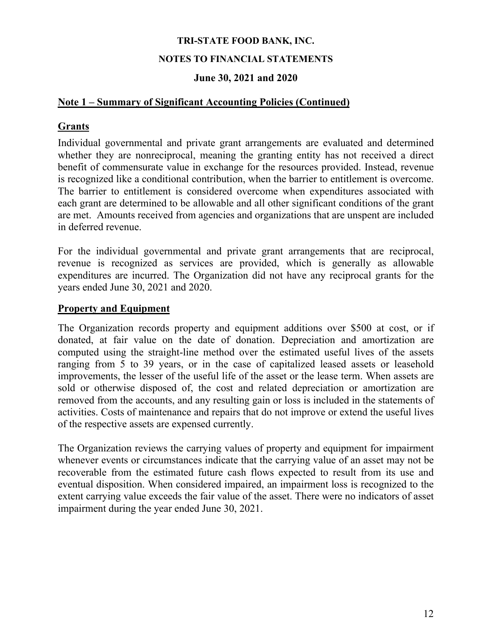### **NOTES TO FINANCIAL STATEMENTS**

### **June 30, 2021 and 2020**

### **Note 1 – Summary of Significant Accounting Policies (Continued)**

### **Grants**

Individual governmental and private grant arrangements are evaluated and determined whether they are nonreciprocal, meaning the granting entity has not received a direct benefit of commensurate value in exchange for the resources provided. Instead, revenue is recognized like a conditional contribution, when the barrier to entitlement is overcome. The barrier to entitlement is considered overcome when expenditures associated with each grant are determined to be allowable and all other significant conditions of the grant are met. Amounts received from agencies and organizations that are unspent are included in deferred revenue.

For the individual governmental and private grant arrangements that are reciprocal, revenue is recognized as services are provided, which is generally as allowable expenditures are incurred. The Organization did not have any reciprocal grants for the years ended June 30, 2021 and 2020.

### **Property and Equipment**

The Organization records property and equipment additions over \$500 at cost, or if donated, at fair value on the date of donation. Depreciation and amortization are computed using the straight-line method over the estimated useful lives of the assets ranging from 5 to 39 years, or in the case of capitalized leased assets or leasehold improvements, the lesser of the useful life of the asset or the lease term. When assets are sold or otherwise disposed of, the cost and related depreciation or amortization are removed from the accounts, and any resulting gain or loss is included in the statements of activities. Costs of maintenance and repairs that do not improve or extend the useful lives of the respective assets are expensed currently.

The Organization reviews the carrying values of property and equipment for impairment whenever events or circumstances indicate that the carrying value of an asset may not be recoverable from the estimated future cash flows expected to result from its use and eventual disposition. When considered impaired, an impairment loss is recognized to the extent carrying value exceeds the fair value of the asset. There were no indicators of asset impairment during the year ended June 30, 2021.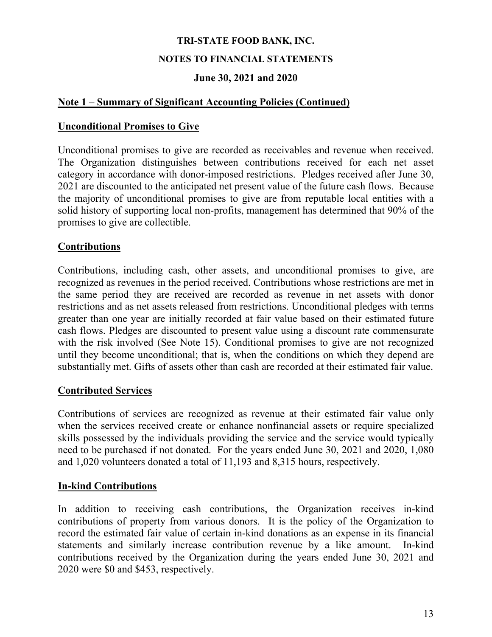### **NOTES TO FINANCIAL STATEMENTS**

### **June 30, 2021 and 2020**

### **Note 1 – Summary of Significant Accounting Policies (Continued)**

#### **Unconditional Promises to Give**

Unconditional promises to give are recorded as receivables and revenue when received. The Organization distinguishes between contributions received for each net asset category in accordance with donor-imposed restrictions. Pledges received after June 30, 2021 are discounted to the anticipated net present value of the future cash flows. Because the majority of unconditional promises to give are from reputable local entities with a solid history of supporting local non-profits, management has determined that 90% of the promises to give are collectible.

### **Contributions**

Contributions, including cash, other assets, and unconditional promises to give, are recognized as revenues in the period received. Contributions whose restrictions are met in the same period they are received are recorded as revenue in net assets with donor restrictions and as net assets released from restrictions. Unconditional pledges with terms greater than one year are initially recorded at fair value based on their estimated future cash flows. Pledges are discounted to present value using a discount rate commensurate with the risk involved (See Note 15). Conditional promises to give are not recognized until they become unconditional; that is, when the conditions on which they depend are substantially met. Gifts of assets other than cash are recorded at their estimated fair value.

#### **Contributed Services**

Contributions of services are recognized as revenue at their estimated fair value only when the services received create or enhance nonfinancial assets or require specialized skills possessed by the individuals providing the service and the service would typically need to be purchased if not donated. For the years ended June 30, 2021 and 2020, 1,080 and 1,020 volunteers donated a total of 11,193 and 8,315 hours, respectively.

#### **In-kind Contributions**

In addition to receiving cash contributions, the Organization receives in-kind contributions of property from various donors. It is the policy of the Organization to record the estimated fair value of certain in-kind donations as an expense in its financial statements and similarly increase contribution revenue by a like amount. In-kind contributions received by the Organization during the years ended June 30, 2021 and 2020 were \$0 and \$453, respectively.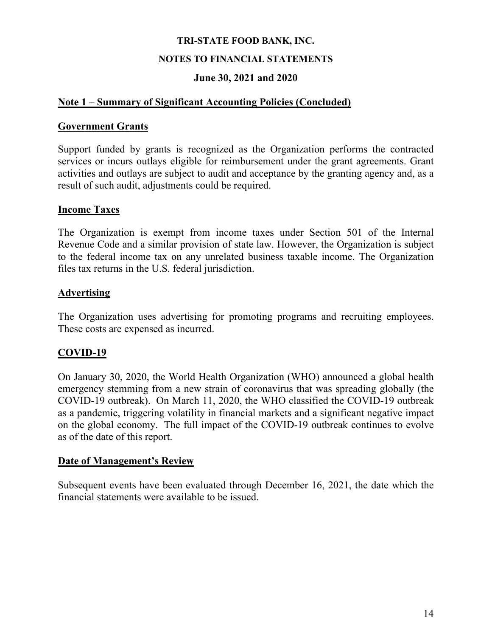### **NOTES TO FINANCIAL STATEMENTS**

#### **June 30, 2021 and 2020**

### **Note 1 – Summary of Significant Accounting Policies (Concluded)**

### **Government Grants**

Support funded by grants is recognized as the Organization performs the contracted services or incurs outlays eligible for reimbursement under the grant agreements. Grant activities and outlays are subject to audit and acceptance by the granting agency and, as a result of such audit, adjustments could be required.

### **Income Taxes**

The Organization is exempt from income taxes under Section 501 of the Internal Revenue Code and a similar provision of state law. However, the Organization is subject to the federal income tax on any unrelated business taxable income. The Organization files tax returns in the U.S. federal jurisdiction.

### **Advertising**

The Organization uses advertising for promoting programs and recruiting employees. These costs are expensed as incurred.

### **COVID-19**

On January 30, 2020, the World Health Organization (WHO) announced a global health emergency stemming from a new strain of coronavirus that was spreading globally (the COVID-19 outbreak). On March 11, 2020, the WHO classified the COVID-19 outbreak as a pandemic, triggering volatility in financial markets and a significant negative impact on the global economy. The full impact of the COVID-19 outbreak continues to evolve as of the date of this report.

#### **Date of Management's Review**

Subsequent events have been evaluated through December 16, 2021, the date which the financial statements were available to be issued.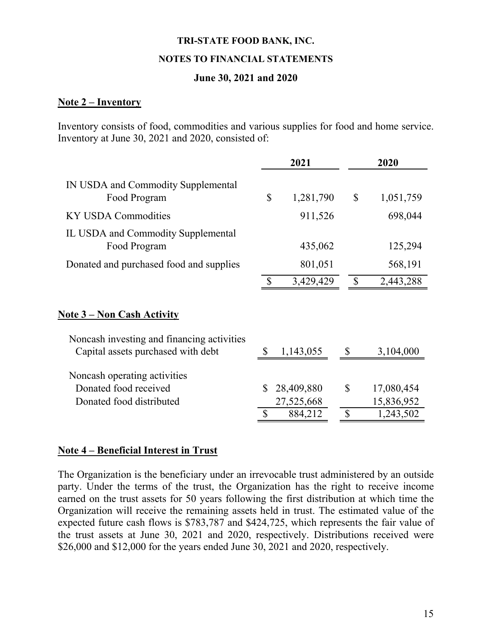#### **NOTES TO FINANCIAL STATEMENTS**

#### **June 30, 2021 and 2020**

#### **Note 2 – Inventory**

Inventory consists of food, commodities and various supplies for food and home service. Inventory at June 30, 2021 and 2020, consisted of:

|                                                                                                                              |               | 2021       |               | 2020       |
|------------------------------------------------------------------------------------------------------------------------------|---------------|------------|---------------|------------|
| IN USDA and Commodity Supplemental<br>Food Program                                                                           | $\mathbb{S}$  | 1,281,790  | $\mathcal{S}$ | 1,051,759  |
| KY USDA Commodities                                                                                                          |               | 911,526    |               | 698,044    |
| IL USDA and Commodity Supplemental<br>Food Program                                                                           |               | 435,062    |               | 125,294    |
| Donated and purchased food and supplies                                                                                      |               | 801,051    |               | 568,191    |
|                                                                                                                              | $\mathcal{S}$ | 3,429,429  | $\mathcal{S}$ | 2,443,288  |
| <u><b>Note 3 – Non Cash Activity</b></u><br>Noncash investing and financing activities<br>Capital assets purchased with debt |               | 1,143,055  | $\mathcal{S}$ | 3,104,000  |
| Noncash operating activities                                                                                                 |               |            |               |            |
| Donated food received                                                                                                        | \$            | 28,409,880 | \$            | 17,080,454 |
| Donated food distributed                                                                                                     |               | 27,525,668 |               | 15,836,952 |
|                                                                                                                              | \$            | 884,212    | $\mathcal{S}$ | 1,243,502  |

#### **Note 4 – Beneficial Interest in Trust**

The Organization is the beneficiary under an irrevocable trust administered by an outside party. Under the terms of the trust, the Organization has the right to receive income earned on the trust assets for 50 years following the first distribution at which time the Organization will receive the remaining assets held in trust. The estimated value of the expected future cash flows is \$783,787 and \$424,725, which represents the fair value of the trust assets at June 30, 2021 and 2020, respectively. Distributions received were \$26,000 and \$12,000 for the years ended June 30, 2021 and 2020, respectively.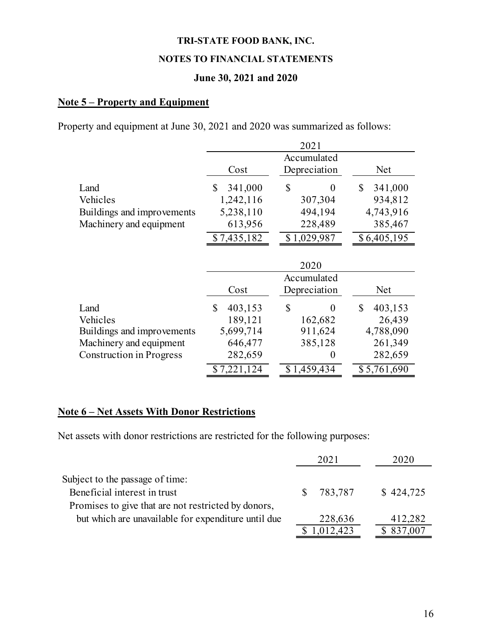### **NOTES TO FINANCIAL STATEMENTS**

### **June 30, 2021 and 2020**

### **Note 5 – Property and Equipment**

Property and equipment at June 30, 2021 and 2020 was summarized as follows:

|                                 |               | 2021           |               |
|---------------------------------|---------------|----------------|---------------|
|                                 |               | Accumulated    |               |
|                                 | Cost          | Depreciation   | Net           |
| Land                            | 341,000<br>\$ | \$<br>$\theta$ | 341,000<br>\$ |
| Vehicles                        | 1,242,116     | 307,304        | 934,812       |
| Buildings and improvements      | 5,238,110     | 494,194        | 4,743,916     |
| Machinery and equipment         | 613,956       | 228,489        | 385,467       |
|                                 | \$7,435,182   | \$1,029,987    | \$6,405,195   |
|                                 |               |                |               |
|                                 |               |                |               |
|                                 |               | 2020           |               |
|                                 |               | Accumulated    |               |
|                                 | Cost          | Depreciation   | Net           |
| Land                            | \$<br>403,153 | \$<br>$\theta$ | 403,153<br>\$ |
| Vehicles                        | 189,121       | 162,682        | 26,439        |
| Buildings and improvements      | 5,699,714     | 911,624        | 4,788,090     |
| Machinery and equipment         | 646,477       | 385,128        | 261,349       |
| <b>Construction in Progress</b> | 282,659       | $\theta$       | 282,659       |

### **Note 6 – Net Assets With Donor Restrictions**

Net assets with donor restrictions are restricted for the following purposes:

|                                                                 | 2021     | 2020      |
|-----------------------------------------------------------------|----------|-----------|
| Subject to the passage of time:<br>Beneficial interest in trust | 783,787  | \$424,725 |
| Promises to give that are not restricted by donors,             |          |           |
| but which are unavailable for expenditure until due             | 228,636  | 412,282   |
|                                                                 | ,012,423 | \$837,007 |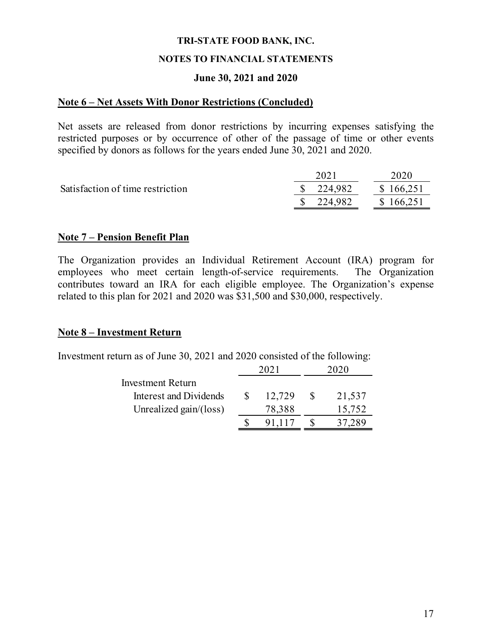### **NOTES TO FINANCIAL STATEMENTS**

#### **June 30, 2021 and 2020**

#### **Note 6 – Net Assets With Donor Restrictions (Concluded)**

Net assets are released from donor restrictions by incurring expenses satisfying the restricted purposes or by occurrence of other of the passage of time or other events specified by donors as follows for the years ended June 30, 2021 and 2020.

|                                  | 2021    | 2020      |  |
|----------------------------------|---------|-----------|--|
| Satisfaction of time restriction | 224,982 | \$166,251 |  |
|                                  | 224,982 | \$166,251 |  |

#### **Note 7 – Pension Benefit Plan**

The Organization provides an Individual Retirement Account (IRA) program for employees who meet certain length-of-service requirements. The Organization contributes toward an IRA for each eligible employee. The Organization's expense related to this plan for 2021 and 2020 was \$31,500 and \$30,000, respectively.

#### **Note 8 – Investment Return**

Investment return as of June 30, 2021 and 2020 consisted of the following:

|                        | 2021 |        | 2020 |        |
|------------------------|------|--------|------|--------|
| Investment Return      |      |        |      |        |
| Interest and Dividends |      | 12.729 |      | 21,537 |
| Unrealized gain/(loss) |      | 78,388 |      | 15,752 |
|                        |      | 91,117 |      | 37,289 |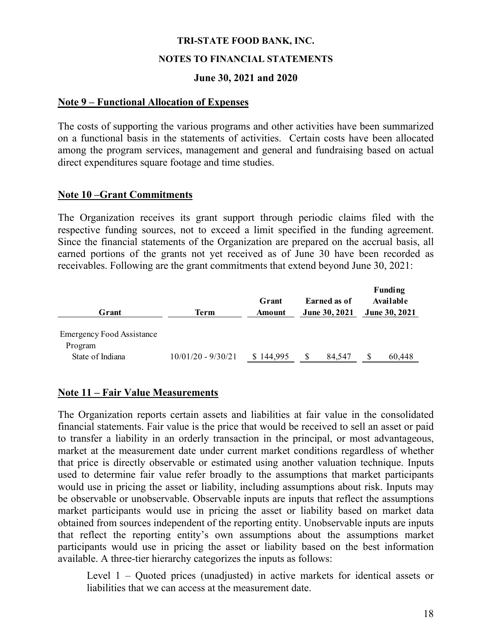#### **NOTES TO FINANCIAL STATEMENTS**

#### **June 30, 2021 and 2020**

#### **Note 9 – Functional Allocation of Expenses**

The costs of supporting the various programs and other activities have been summarized on a functional basis in the statements of activities. Certain costs have been allocated among the program services, management and general and fundraising based on actual direct expenditures square footage and time studies.

#### **Note 10 –Grant Commitments**

The Organization receives its grant support through periodic claims filed with the respective funding sources, not to exceed a limit specified in the funding agreement. Since the financial statements of the Organization are prepared on the accrual basis, all earned portions of the grants not yet received as of June 30 have been recorded as receivables. Following are the grant commitments that extend beyond June 30, 2021:

| Grant                                       | Term                 | Grant<br>Amount | <b>Earned as of</b><br><b>June 30, 2021</b> | Funding<br>Available<br>June 30, 2021 |
|---------------------------------------------|----------------------|-----------------|---------------------------------------------|---------------------------------------|
| <b>Emergency Food Assistance</b><br>Program |                      |                 |                                             |                                       |
| State of Indiana                            | $10/01/20 - 9/30/21$ | \$144,995       | 84.547                                      | 60.448                                |

#### **Note 11 – Fair Value Measurements**

The Organization reports certain assets and liabilities at fair value in the consolidated financial statements. Fair value is the price that would be received to sell an asset or paid to transfer a liability in an orderly transaction in the principal, or most advantageous, market at the measurement date under current market conditions regardless of whether that price is directly observable or estimated using another valuation technique. Inputs used to determine fair value refer broadly to the assumptions that market participants would use in pricing the asset or liability, including assumptions about risk. Inputs may be observable or unobservable. Observable inputs are inputs that reflect the assumptions market participants would use in pricing the asset or liability based on market data obtained from sources independent of the reporting entity. Unobservable inputs are inputs that reflect the reporting entity's own assumptions about the assumptions market participants would use in pricing the asset or liability based on the best information available. A three-tier hierarchy categorizes the inputs as follows:

Level 1 – Quoted prices (unadjusted) in active markets for identical assets or liabilities that we can access at the measurement date.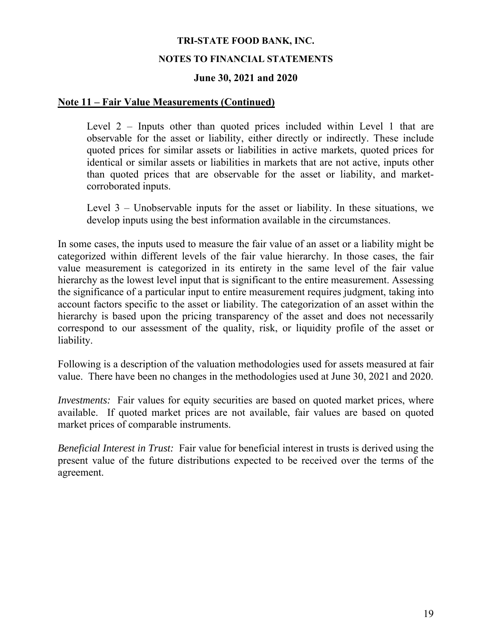#### **NOTES TO FINANCIAL STATEMENTS**

#### **June 30, 2021 and 2020**

#### **Note 11 – Fair Value Measurements (Continued)**

Level 2 – Inputs other than quoted prices included within Level 1 that are observable for the asset or liability, either directly or indirectly. These include quoted prices for similar assets or liabilities in active markets, quoted prices for identical or similar assets or liabilities in markets that are not active, inputs other than quoted prices that are observable for the asset or liability, and marketcorroborated inputs.

Level 3 – Unobservable inputs for the asset or liability. In these situations, we develop inputs using the best information available in the circumstances.

In some cases, the inputs used to measure the fair value of an asset or a liability might be categorized within different levels of the fair value hierarchy. In those cases, the fair value measurement is categorized in its entirety in the same level of the fair value hierarchy as the lowest level input that is significant to the entire measurement. Assessing the significance of a particular input to entire measurement requires judgment, taking into account factors specific to the asset or liability. The categorization of an asset within the hierarchy is based upon the pricing transparency of the asset and does not necessarily correspond to our assessment of the quality, risk, or liquidity profile of the asset or liability.

Following is a description of the valuation methodologies used for assets measured at fair value. There have been no changes in the methodologies used at June 30, 2021 and 2020.

*Investments:* Fair values for equity securities are based on quoted market prices, where available. If quoted market prices are not available, fair values are based on quoted market prices of comparable instruments.

*Beneficial Interest in Trust:* Fair value for beneficial interest in trusts is derived using the present value of the future distributions expected to be received over the terms of the agreement.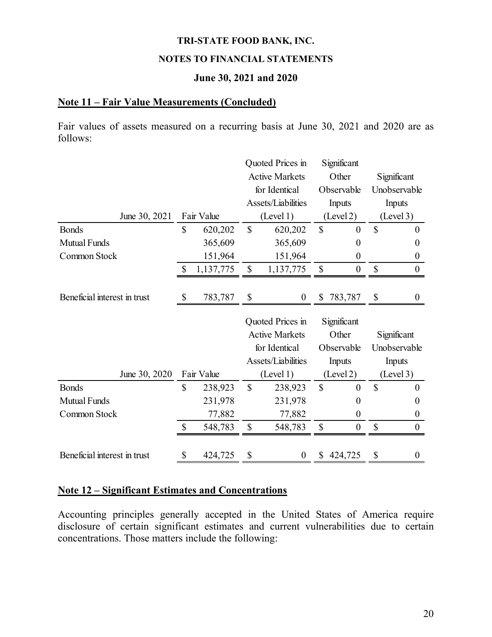#### **NOTES TO FINANCIAL STATEMENTS**

#### **June 30, 2021 and 2020**

#### **Note 11 – Fair Value Measurements (Concluded)**

Fair values of assets measured on a recurring basis at June 30, 2021 and 2020 are as follows:

|                              |               |            |               | Quoted Prices in      |              | Significant      |                           |                  |
|------------------------------|---------------|------------|---------------|-----------------------|--------------|------------------|---------------------------|------------------|
|                              |               |            |               | <b>Active Markets</b> |              | Other            |                           | Significant      |
|                              |               |            | for Identical |                       |              | Observable       |                           | Unobservable     |
|                              |               |            |               | Assets/Liabilities    |              | Inputs           |                           | Inputs           |
| June 30, 2021                |               | Fair Value |               | (Level 1)             |              | (Level 2)        |                           | (Level 3)        |
| <b>Bonds</b>                 | \$            | 620,202    | $\mathbb{S}$  | 620,202               | $\mathbb{S}$ | $\boldsymbol{0}$ | $\mathbb{S}$              | 0                |
| <b>Mutual Funds</b>          |               | 365,609    |               | 365,609               |              | 0                |                           | 0                |
| Common Stock                 |               | 151,964    |               | 151,964               |              | $\boldsymbol{0}$ |                           | $\boldsymbol{0}$ |
|                              | $\mathcal{S}$ | 1,137,775  | \$            | 1,137,775             | \$           | $\boldsymbol{0}$ | \$                        | $\boldsymbol{0}$ |
|                              |               |            |               |                       |              |                  |                           |                  |
| Beneficial interest in trust | \$            | 783,787    | \$            | $\boldsymbol{0}$      | \$           | 783,787          | $\boldsymbol{\mathsf{S}}$ | $\boldsymbol{0}$ |
|                              |               |            |               | Quoted Prices in      |              | Significant      |                           |                  |
|                              |               |            |               | <b>Active Markets</b> |              | Other            |                           | Significant      |
|                              |               |            |               | for Identical         |              | Observable       |                           | Unobservable     |
|                              |               |            |               | Assets/Liabilities    |              | Inputs           |                           | Inputs           |
| June 30, 2020                |               | Fair Value |               | (Level 1)             |              | (Level 2)        | (Level 3)                 |                  |
| <b>Bonds</b>                 | \$            | 238,923    | $\mathbb{S}$  | 238,923               | $\mathbb{S}$ | $\boldsymbol{0}$ | $\mathcal{S}$             | $\boldsymbol{0}$ |
| Mutual Funds                 |               | 231,978    |               | 231,978               |              | $\boldsymbol{0}$ |                           | 0                |
| Common Stock                 |               | 77,882     |               | 77,882                |              | $\boldsymbol{0}$ |                           | 0                |
|                              | $\mathbb{S}$  | 548,783    | \$            | 548,783               | $\mathbb{S}$ | $\boldsymbol{0}$ | \$                        | $\boldsymbol{0}$ |
| Beneficial interest in trust | \$            | 424,725    | \$            | $\boldsymbol{0}$      | \$           | 424,725          | \$                        | $\boldsymbol{0}$ |
|                              |               |            |               |                       |              |                  |                           |                  |

### **Note 12 – Significant Estimates and Concentrations**

Accounting principles generally accepted in the United States of America require disclosure of certain significant estimates and current vulnerabilities due to certain concentrations. Those matters include the following: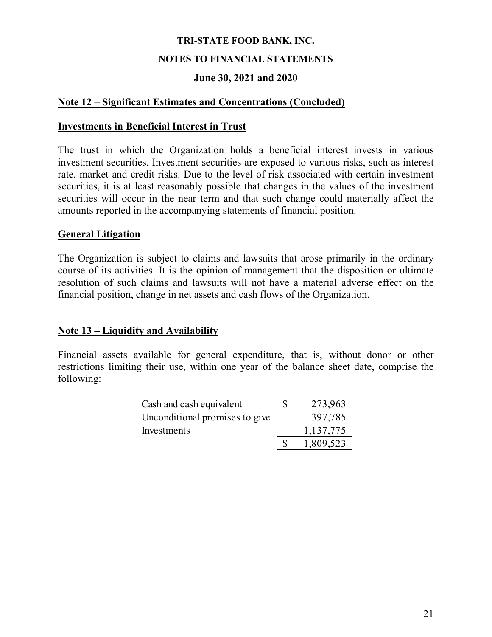#### **NOTES TO FINANCIAL STATEMENTS**

#### **June 30, 2021 and 2020**

### **Note 12 – Significant Estimates and Concentrations (Concluded)**

#### **Investments in Beneficial Interest in Trust**

The trust in which the Organization holds a beneficial interest invests in various investment securities. Investment securities are exposed to various risks, such as interest rate, market and credit risks. Due to the level of risk associated with certain investment securities, it is at least reasonably possible that changes in the values of the investment securities will occur in the near term and that such change could materially affect the amounts reported in the accompanying statements of financial position.

#### **General Litigation**

The Organization is subject to claims and lawsuits that arose primarily in the ordinary course of its activities. It is the opinion of management that the disposition or ultimate resolution of such claims and lawsuits will not have a material adverse effect on the financial position, change in net assets and cash flows of the Organization.

#### **Note 13 – Liquidity and Availability**

Financial assets available for general expenditure, that is, without donor or other restrictions limiting their use, within one year of the balance sheet date, comprise the following:

| Cash and cash equivalent       | Ж | 273,963   |
|--------------------------------|---|-----------|
| Unconditional promises to give |   | 397,785   |
| Investments                    |   | 1,137,775 |
|                                |   | 1,809,523 |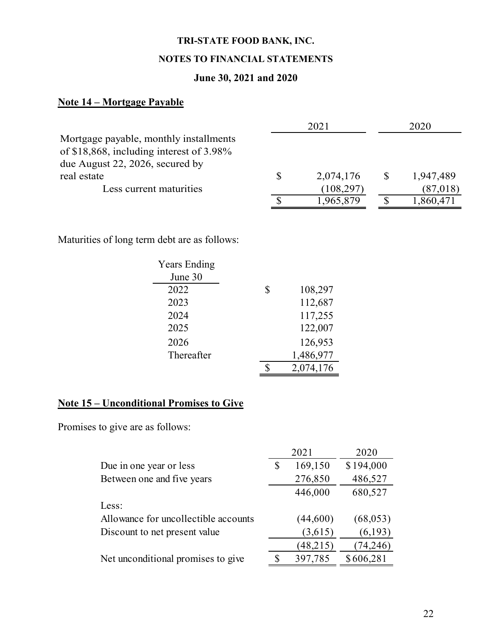### **NOTES TO FINANCIAL STATEMENTS**

### **June 30, 2021 and 2020**

### **Note 14 – Mortgage Payable**

|                                                                                                                         | 2021                    |              | 2020                  |
|-------------------------------------------------------------------------------------------------------------------------|-------------------------|--------------|-----------------------|
| Mortgage payable, monthly installments<br>of $$18,868$ , including interest of 3.98%<br>due August 22, 2026, secured by |                         |              |                       |
| real estate<br>Less current maturities                                                                                  | 2,074,176<br>(108, 297) | <sup>S</sup> | 1,947,489<br>(87,018) |
|                                                                                                                         | 1,965,879               |              | 1,860,471             |

Maturities of long term debt are as follows:

| <b>Years Ending</b> |               |
|---------------------|---------------|
| June 30             |               |
| 2022                | \$<br>108,297 |
| 2023                | 112,687       |
| 2024                | 117,255       |
| 2025                | 122,007       |
| 2026                | 126,953       |
| Thereafter          | 1,486,977     |
|                     | 2,074,176     |

### **Note 15 – Unconditional Promises to Give**

Promises to give are as follows:

| 2021                                             | 2020      |
|--------------------------------------------------|-----------|
| 169,150<br>Due in one year or less<br>\$         | \$194,000 |
| Between one and five years<br>276,850            | 486,527   |
| 446,000                                          | 680,527   |
| Less:                                            |           |
| Allowance for uncollectible accounts<br>(44,600) | (68, 053) |
| (3,615)<br>Discount to net present value         | (6,193)   |
| (48,215)                                         | (74, 246) |
| 397,785<br>Net unconditional promises to give    | \$606,281 |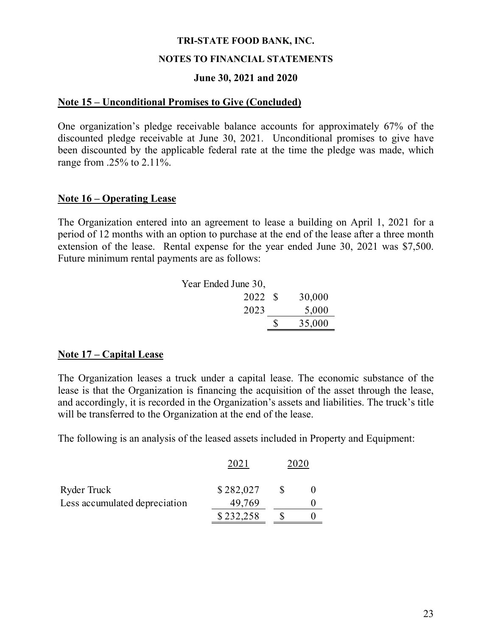#### **NOTES TO FINANCIAL STATEMENTS**

#### **June 30, 2021 and 2020**

### **Note 15 – Unconditional Promises to Give (Concluded)**

One organization's pledge receivable balance accounts for approximately 67% of the discounted pledge receivable at June 30, 2021. Unconditional promises to give have been discounted by the applicable federal rate at the time the pledge was made, which range from .25% to 2.11%.

### **Note 16 – Operating Lease**

The Organization entered into an agreement to lease a building on April 1, 2021 for a period of 12 months with an option to purchase at the end of the lease after a three month extension of the lease. Rental expense for the year ended June 30, 2021 was \$7,500. Future minimum rental payments are as follows:

| Year Ended June 30, |    |        |
|---------------------|----|--------|
| 2022 \$             |    | 30,000 |
| 2023                |    | 5,000  |
|                     | S. | 35,000 |

### **Note 17 – Capital Lease**

The Organization leases a truck under a capital lease. The economic substance of the lease is that the Organization is financing the acquisition of the asset through the lease, and accordingly, it is recorded in the Organization's assets and liabilities. The truck's title will be transferred to the Organization at the end of the lease.

The following is an analysis of the leased assets included in Property and Equipment:

| Ryder Truck                   | \$282,027 |  |
|-------------------------------|-----------|--|
| Less accumulated depreciation | 49.769    |  |
|                               | \$232,258 |  |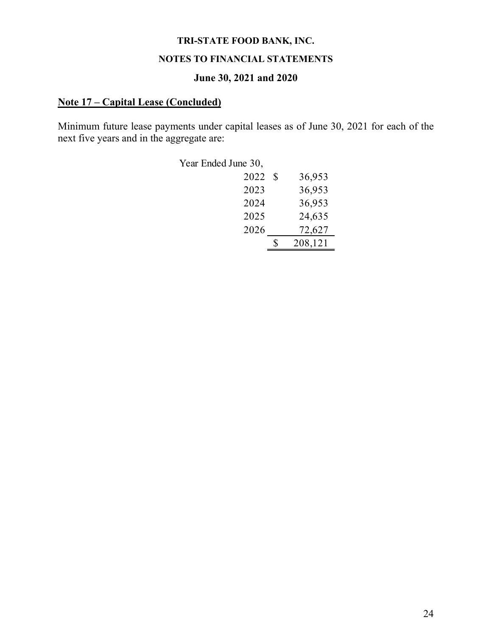### **NOTES TO FINANCIAL STATEMENTS**

### **June 30, 2021 and 2020**

### **Note 17 – Capital Lease (Concluded)**

Minimum future lease payments under capital leases as of June 30, 2021 for each of the next five years and in the aggregate are:

| Year Ended June 30, |    |         |
|---------------------|----|---------|
| 2022                | -S | 36,953  |
| 2023                |    | 36,953  |
| 2024                |    | 36,953  |
| 2025                |    | 24,635  |
| 2026                |    | 72,627  |
|                     |    | 208,121 |
|                     |    |         |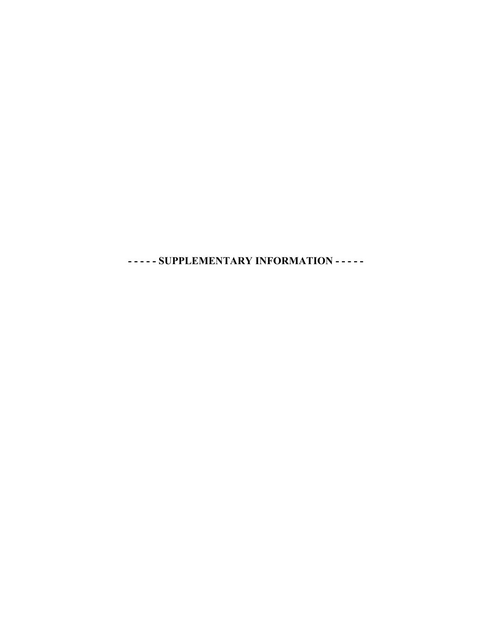**- - - - - SUPPLEMENTARY INFORMATION - - - - -**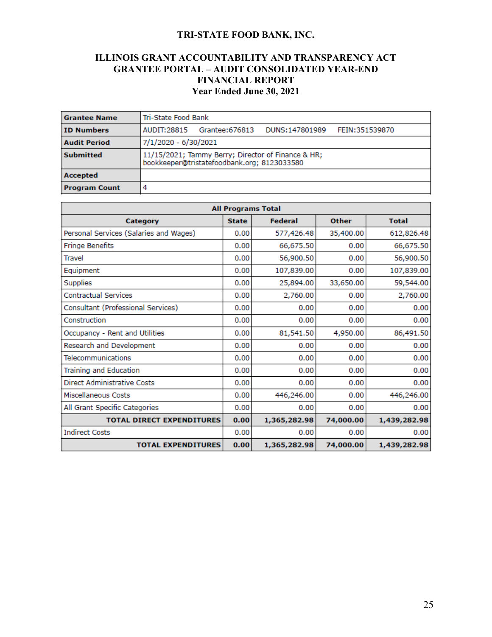| <b>Grantee Name</b>  | Tri-State Food Bank                                                                               |  |  |  |  |
|----------------------|---------------------------------------------------------------------------------------------------|--|--|--|--|
| <b>ID Numbers</b>    | AUDIT:28815<br>Grantee: 676813 DUNS: 147801989<br>FEIN: 351539870                                 |  |  |  |  |
| <b>Audit Period</b>  | 7/1/2020 - 6/30/2021                                                                              |  |  |  |  |
| <b>Submitted</b>     | 11/15/2021; Tammy Berry; Director of Finance & HR;<br>bookkeeper@tristatefoodbank.org; 8123033580 |  |  |  |  |
| Accepted             |                                                                                                   |  |  |  |  |
| <b>Program Count</b> |                                                                                                   |  |  |  |  |

| <b>All Programs Total</b>              |              |                |              |              |  |  |  |
|----------------------------------------|--------------|----------------|--------------|--------------|--|--|--|
| Category                               | <b>State</b> | <b>Federal</b> | <b>Other</b> | <b>Total</b> |  |  |  |
| Personal Services (Salaries and Wages) | 0.00         | 577,426.48     | 35,400.00    | 612,826.48   |  |  |  |
| <b>Fringe Benefits</b>                 | 0.00         | 66,675.50      | 0.00         | 66,675.50    |  |  |  |
| Travel                                 | 0.00         | 56,900.50      | 0.00         | 56,900.50    |  |  |  |
| Equipment                              | 0.00         | 107,839.00     | 0.00         | 107,839.00   |  |  |  |
| <b>Supplies</b>                        | 0.00         | 25,894.00      | 33,650.00    | 59,544.00    |  |  |  |
| <b>Contractual Services</b>            | 0.00         | 2,760.00       | 0.00         | 2,760.00     |  |  |  |
| Consultant (Professional Services)     | 0.00         | 0.00           | 0.00         | 0.00         |  |  |  |
| Construction                           | 0.00         | 0.00           | 0.00         | 0.00         |  |  |  |
| Occupancy - Rent and Utilities         | 0.00         | 81,541.50      | 4,950.00     | 86,491.50    |  |  |  |
| Research and Development               | 0.00         | 0.00           | 0.00         | 0.00         |  |  |  |
| Telecommunications                     | 0.00         | 0.00           | 0.00         | 0.00         |  |  |  |
| Training and Education                 | 0.00         | 0.00           | 0.00         | 0.00         |  |  |  |
| Direct Administrative Costs            | 0.00         | 0.00           | 0.00         | 0.00         |  |  |  |
| Miscellaneous Costs                    | 0.00         | 446,246.00     | 0.00         | 446,246.00   |  |  |  |
| All Grant Specific Categories          | 0.00         | 0.00           | 0.00         | 0.00         |  |  |  |
| <b>TOTAL DIRECT EXPENDITURES</b>       | 0.00         | 1,365,282.98   | 74,000.00    | 1,439,282.98 |  |  |  |
| <b>Indirect Costs</b>                  | 0.00         | 0.00           | 0.00         | 0.00         |  |  |  |
| <b>TOTAL EXPENDITURES</b>              | 0.00         | 1,365,282.98   | 74,000.00    | 1,439,282.98 |  |  |  |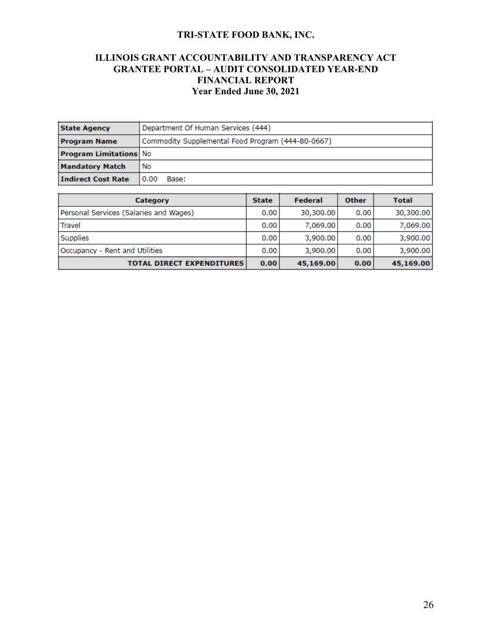| <b>State Agency</b>           | Department Of Human Services (444)                |
|-------------------------------|---------------------------------------------------|
| <b>Program Name</b>           | Commodity Supplemental Food Program (444-80-0667) |
| <b>Program Limitations</b> No |                                                   |
| <b>Mandatory Match</b>        | No                                                |
| <b>Indirect Cost Rate</b>     | 0.00<br>Base:                                     |

| Category                               | <b>State</b> | <b>Federal</b> | <b>Other</b> | <b>Total</b> |
|----------------------------------------|--------------|----------------|--------------|--------------|
| Personal Services (Salaries and Wages) | 0.00         | 30,300.00      | 0.00         | 30,300.00    |
| Travel                                 | 0.00         | 7,069.00       | 0.00         | 7,069.00     |
| Supplies                               | 0.00         | 3,900.00       | 0.00         | 3,900.00     |
| Occupancy - Rent and Utilities         | 0.00         | 3,900.00       | 0.00         | 3,900.00     |
| <b>TOTAL DIRECT EXPENDITURES</b>       | 0.00         | 45,169.00      | 0.00         | 45,169.00    |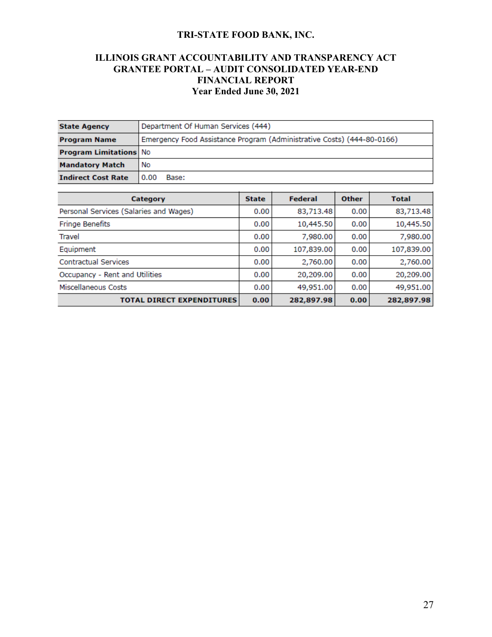| <b>State Agency</b>             | Department Of Human Services (444)                                     |
|---------------------------------|------------------------------------------------------------------------|
| <b>Program Name</b>             | Emergency Food Assistance Program (Administrative Costs) (444-80-0166) |
| <b>Program Limitations   No</b> |                                                                        |
| <b>Mandatory Match</b>          | No                                                                     |
| <b>Indirect Cost Rate</b>       | 0.00<br>Base:                                                          |

| Category                               | <b>State</b> | Federal    | <b>Other</b> | <b>Total</b> |
|----------------------------------------|--------------|------------|--------------|--------------|
| Personal Services (Salaries and Wages) | 0.00         | 83,713.48  | 0.00         | 83,713.48    |
| <b>Fringe Benefits</b>                 | 0.00         | 10,445.50  | 0.00         | 10,445.50    |
| Travel                                 | 0.00         | 7,980.00   | 0.00         | 7,980.00     |
| Equipment                              | 0.00         | 107,839.00 | 0.00         | 107,839.00   |
| <b>Contractual Services</b>            | 0.00         | 2,760.00   | 0.00         | 2,760.00     |
| Occupancy - Rent and Utilities         | 0.00         | 20,209.00  | 0.00         | 20,209.00    |
| Miscellaneous Costs                    | 0.00         | 49,951.00  | 0.00         | 49,951.00    |
| <b>TOTAL DIRECT EXPENDITURES</b>       | 0.00         | 282,897.98 | 0.00         | 282,897.98   |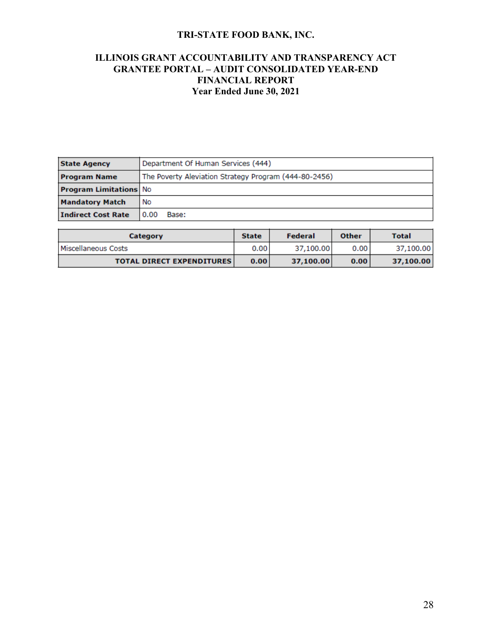| <b>State Agency</b>           | Department Of Human Services (444)                    |
|-------------------------------|-------------------------------------------------------|
| <b>Program Name</b>           | The Poverty Aleviation Strategy Program (444-80-2456) |
| <b>Program Limitations No</b> |                                                       |
| <b>Mandatory Match</b>        | No                                                    |
| <b>Indirect Cost Rate</b>     | 0.00<br>Base:                                         |

| Category                         | <b>State</b> | Federal   | Other | <b>Total</b> |
|----------------------------------|--------------|-----------|-------|--------------|
| Miscellaneous Costs              | 0.00         | 37,100.00 | 0.00  | 37,100.00    |
| <b>TOTAL DIRECT EXPENDITURES</b> | 0.00         | 37,100.00 | 0.00  | 37,100.00    |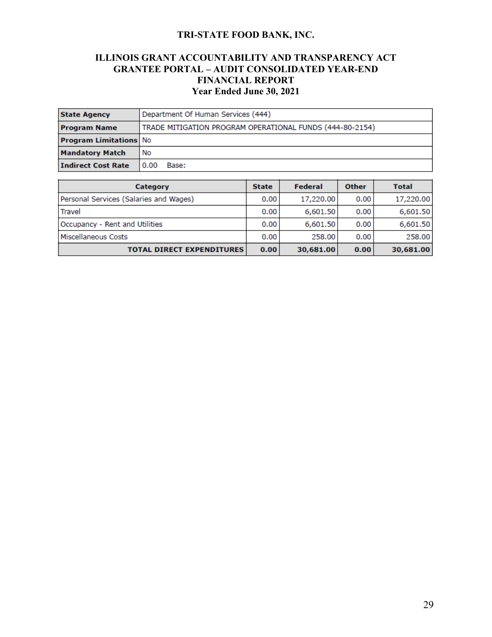| <b>State Agency</b>           | Department Of Human Services (444)                       |
|-------------------------------|----------------------------------------------------------|
| <b>Program Name</b>           | TRADE MITIGATION PROGRAM OPERATIONAL FUNDS (444-80-2154) |
| <b>Program Limitations</b> No |                                                          |
| <b>Mandatory Match</b>        | No                                                       |
| <b>Indirect Cost Rate</b>     | 0.00<br>Base:                                            |

| Category                               | <b>State</b> | <b>Federal</b> | <b>Other</b> | <b>Total</b> |
|----------------------------------------|--------------|----------------|--------------|--------------|
| Personal Services (Salaries and Wages) | 0.00         | 17,220.00      | 0.00         | 17,220.00    |
| Travel                                 | 0.00         | 6,601.50       | 0.00         | 6,601.50     |
| Occupancy - Rent and Utilities         | 0.00         | 6,601.50       | 0.00         | 6,601.50     |
| Miscellaneous Costs                    | 0.00         | 258.00         | 0.00         | 258.00       |
| <b>TOTAL DIRECT EXPENDITURES</b>       | 0.00         | 30,681.00      | 0.00         | 30,681.00    |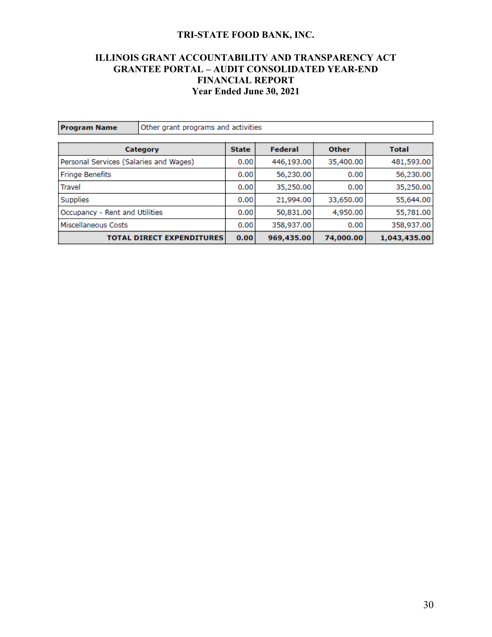| <b>Program Name</b>                    | Other grant programs and activities |              |                |              |              |  |  |  |
|----------------------------------------|-------------------------------------|--------------|----------------|--------------|--------------|--|--|--|
|                                        |                                     |              |                |              |              |  |  |  |
|                                        | Category                            | <b>State</b> | <b>Federal</b> | <b>Other</b> | <b>Total</b> |  |  |  |
| Personal Services (Salaries and Wages) |                                     | 0.00         | 446,193.00     | 35,400.00    | 481,593.00   |  |  |  |
| <b>Fringe Benefits</b>                 |                                     | 0.00         | 56,230.00      | 0.00         | 56,230.00    |  |  |  |
| Travel                                 |                                     | 0.00         | 35,250.00      | 0.00         | 35,250.00    |  |  |  |
| Supplies                               |                                     | 0.00         | 21,994.00      | 33,650.00    | 55,644.00    |  |  |  |
| Occupancy - Rent and Utilities         |                                     | 0.00         | 50,831.00      | 4,950.00     | 55,781.00    |  |  |  |
| Miscellaneous Costs                    |                                     | 0.00         | 358,937.00     | 0.00         | 358,937.00   |  |  |  |
|                                        | <b>TOTAL DIRECT EXPENDITURES</b>    | 0.00         | 969,435.00     | 74,000.00    | 1,043,435.00 |  |  |  |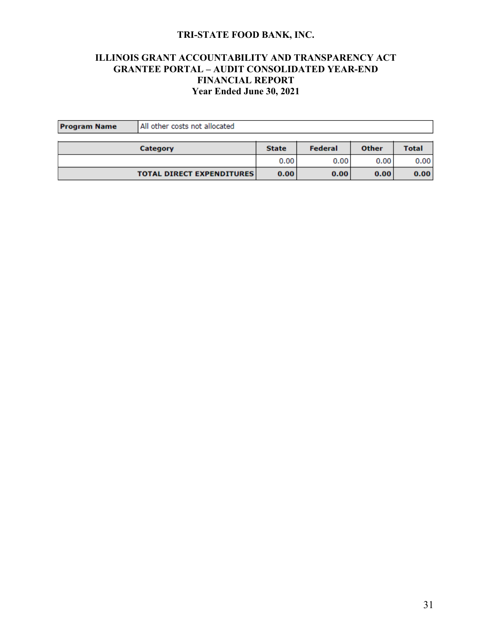| <b>Program Name</b> | All other costs not allocated    |              |         |       |                   |
|---------------------|----------------------------------|--------------|---------|-------|-------------------|
|                     |                                  |              |         |       |                   |
|                     | Category                         | <b>State</b> | Federal | Other | <b>Total</b>      |
|                     |                                  | 0.00         | 0.00    | 0.00  | 0.00 <sub>1</sub> |
|                     | <b>TOTAL DIRECT EXPENDITURES</b> | 0.00         | 0.00    | 0.00  | 0.00              |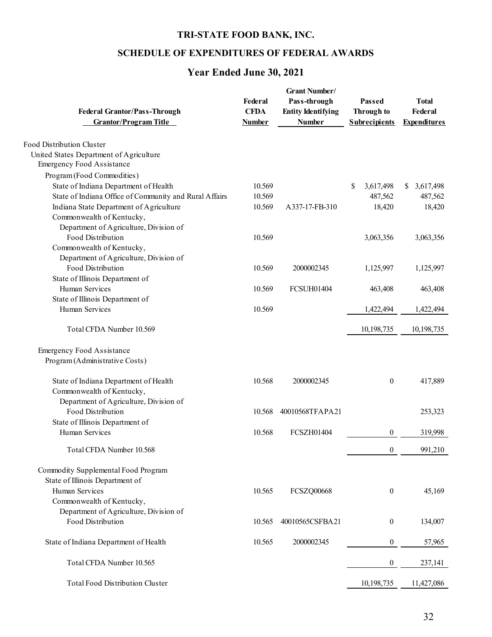### **SCHEDULE OF EXPENDITURES OF FEDERAL AWARDS**

# **Year Ended June 30, 2021**

| <b>Federal Grantor/Pass-Through</b><br><b>Grantor/Program Title</b>         | Federal<br><b>CFDA</b><br><b>Number</b> | <b>Grant Number/</b><br>Pass-through<br><b>Entity Identifying</b><br><b>Number</b> | Passed<br><b>Through to</b><br><b>Subrecipients</b> | <b>Total</b><br>Federal<br><b>Expenditures</b> |
|-----------------------------------------------------------------------------|-----------------------------------------|------------------------------------------------------------------------------------|-----------------------------------------------------|------------------------------------------------|
| Food Distribution Cluster                                                   |                                         |                                                                                    |                                                     |                                                |
| United States Department of Agriculture<br><b>Emergency Food Assistance</b> |                                         |                                                                                    |                                                     |                                                |
| Program (Food Commodities)                                                  |                                         |                                                                                    |                                                     |                                                |
| State of Indiana Department of Health                                       | 10.569                                  |                                                                                    | \$<br>3,617,498                                     | \$<br>3,617,498                                |
| State of Indiana Office of Community and Rural Affairs                      | 10.569                                  |                                                                                    | 487,562                                             | 487,562                                        |
| Indiana State Department of Agriculture                                     | 10.569                                  | A337-17-FB-310                                                                     | 18,420                                              | 18,420                                         |
| Commonwealth of Kentucky,                                                   |                                         |                                                                                    |                                                     |                                                |
| Department of Agriculture, Division of                                      |                                         |                                                                                    |                                                     |                                                |
| Food Distribution                                                           | 10.569                                  |                                                                                    | 3,063,356                                           | 3,063,356                                      |
| Commonwealth of Kentucky,                                                   |                                         |                                                                                    |                                                     |                                                |
| Department of Agriculture, Division of                                      |                                         |                                                                                    |                                                     |                                                |
| Food Distribution                                                           | 10.569                                  | 2000002345                                                                         | 1,125,997                                           | 1,125,997                                      |
| State of Illinois Department of                                             |                                         |                                                                                    |                                                     |                                                |
| Human Services                                                              | 10.569                                  | <b>FCSUH01404</b>                                                                  | 463,408                                             | 463,408                                        |
| State of Illinois Department of                                             |                                         |                                                                                    |                                                     |                                                |
| Human Services                                                              | 10.569                                  |                                                                                    | 1,422,494                                           | 1,422,494                                      |
| Total CFDA Number 10.569                                                    |                                         |                                                                                    | 10,198,735                                          | 10,198,735                                     |
| <b>Emergency Food Assistance</b><br>Program (Administrative Costs)          |                                         |                                                                                    |                                                     |                                                |
| State of Indiana Department of Health                                       | 10.568                                  | 2000002345                                                                         | $\boldsymbol{0}$                                    | 417,889                                        |
| Commonwealth of Kentucky,                                                   |                                         |                                                                                    |                                                     |                                                |
| Department of Agriculture, Division of                                      |                                         |                                                                                    |                                                     |                                                |
| Food Distribution                                                           | 10.568                                  | 40010568TFAPA21                                                                    |                                                     | 253,323                                        |
|                                                                             |                                         |                                                                                    |                                                     |                                                |
| State of Illinois Department of<br>Human Services                           | 10.568                                  | <b>FCSZH01404</b>                                                                  | $\mathbf{0}$                                        | 319,998                                        |
|                                                                             |                                         |                                                                                    |                                                     |                                                |
| Total CFDA Number 10.568                                                    |                                         |                                                                                    | $\boldsymbol{0}$                                    | 991,210                                        |
| Commodity Supplemental Food Program                                         |                                         |                                                                                    |                                                     |                                                |
| State of Illinois Department of                                             |                                         |                                                                                    |                                                     |                                                |
| Human Services                                                              | 10.565                                  | <b>FCSZQ00668</b>                                                                  | $\boldsymbol{0}$                                    | 45,169                                         |
| Commonwealth of Kentucky,                                                   |                                         |                                                                                    |                                                     |                                                |
| Department of Agriculture, Division of                                      |                                         |                                                                                    |                                                     |                                                |
| Food Distribution                                                           | 10.565                                  | 40010565CSFBA21                                                                    | $\boldsymbol{0}$                                    | 134,007                                        |
| State of Indiana Department of Health                                       | 10.565                                  | 2000002345                                                                         | $\boldsymbol{0}$                                    | 57,965                                         |
| Total CFDA Number 10.565                                                    |                                         |                                                                                    | $\boldsymbol{0}$                                    | 237,141                                        |
| Total Food Distribution Cluster                                             |                                         |                                                                                    | 10,198,735                                          | 11,427,086                                     |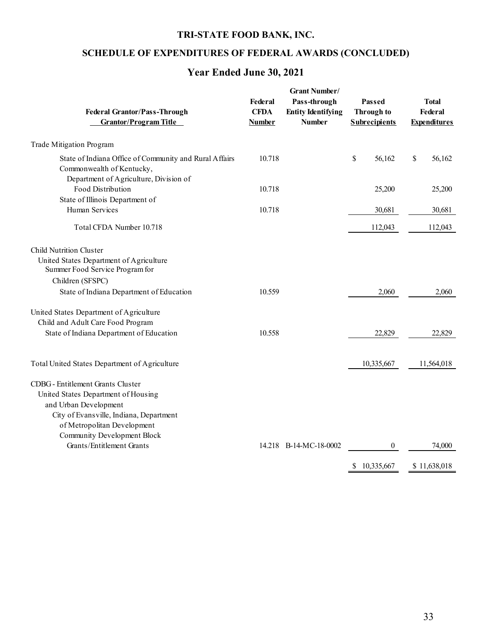# **SCHEDULE OF EXPENDITURES OF FEDERAL AWARDS (CONCLUDED)**

# **Year Ended June 30, 2021**

| <b>Federal Grantor/Pass-Through</b><br><b>Grantor/Program Title</b>                                                                                                                                               | Federal<br><b>CFDA</b><br><b>Number</b> | <b>Grant Number/</b><br>Pass-through<br><b>Entity Identifying</b><br><b>Number</b> | Passed<br><b>Through to</b><br><b>Subrecipients</b> | <b>Total</b><br>Federal<br><b>Expenditures</b> |
|-------------------------------------------------------------------------------------------------------------------------------------------------------------------------------------------------------------------|-----------------------------------------|------------------------------------------------------------------------------------|-----------------------------------------------------|------------------------------------------------|
| Trade Mitigation Program                                                                                                                                                                                          |                                         |                                                                                    |                                                     |                                                |
| State of Indiana Office of Community and Rural Affairs<br>Commonwealth of Kentucky,<br>Department of Agriculture, Division of                                                                                     | 10.718                                  |                                                                                    | \$<br>56,162                                        | \$<br>56,162                                   |
| Food Distribution                                                                                                                                                                                                 | 10.718                                  |                                                                                    | 25,200                                              | 25,200                                         |
| State of Illinois Department of                                                                                                                                                                                   |                                         |                                                                                    |                                                     |                                                |
| Human Services                                                                                                                                                                                                    | 10.718                                  |                                                                                    | 30,681                                              | 30,681                                         |
|                                                                                                                                                                                                                   |                                         |                                                                                    |                                                     |                                                |
| Total CFDA Number 10.718                                                                                                                                                                                          |                                         |                                                                                    | 112,043                                             | 112,043                                        |
| <b>Child Nutrition Cluster</b><br>United States Department of Agriculture<br>Summer Food Service Program for                                                                                                      |                                         |                                                                                    |                                                     |                                                |
| Children (SFSPC)                                                                                                                                                                                                  |                                         |                                                                                    |                                                     |                                                |
| State of Indiana Department of Education                                                                                                                                                                          | 10.559                                  |                                                                                    | 2,060                                               | 2,060                                          |
| United States Department of Agriculture<br>Child and Adult Care Food Program                                                                                                                                      |                                         |                                                                                    |                                                     |                                                |
| State of Indiana Department of Education                                                                                                                                                                          | 10.558                                  |                                                                                    | 22,829                                              | 22,829                                         |
|                                                                                                                                                                                                                   |                                         |                                                                                    |                                                     |                                                |
| Total United States Department of Agriculture                                                                                                                                                                     |                                         |                                                                                    | 10,335,667                                          | 11,564,018                                     |
| <b>CDBG</b> - Entitlement Grants Cluster<br>United States Department of Housing<br>and Urban Development<br>City of Evansville, Indiana, Department<br>of Metropolitan Development<br>Community Development Block |                                         |                                                                                    |                                                     |                                                |
| Grants/Entitlement Grants                                                                                                                                                                                         |                                         | 14.218 B-14-MC-18-0002                                                             | $\boldsymbol{0}$                                    | 74,000                                         |
|                                                                                                                                                                                                                   |                                         |                                                                                    | 10,335,667<br>\$                                    | \$11,638,018                                   |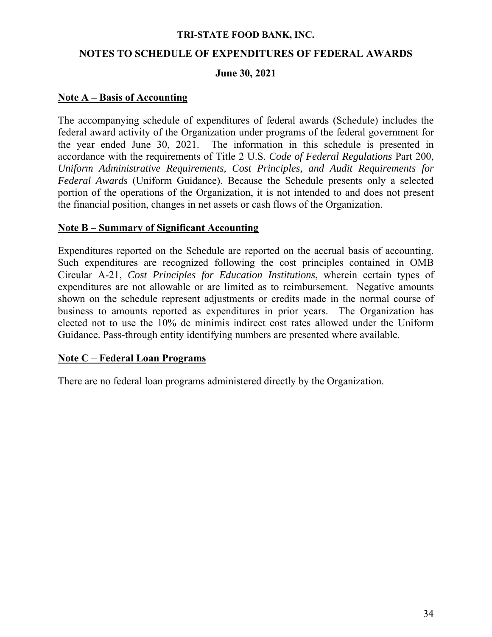### **NOTES TO SCHEDULE OF EXPENDITURES OF FEDERAL AWARDS**

### **June 30, 2021**

### **Note A – Basis of Accounting**

The accompanying schedule of expenditures of federal awards (Schedule) includes the federal award activity of the Organization under programs of the federal government for the year ended June 30, 2021. The information in this schedule is presented in accordance with the requirements of Title 2 U.S. *Code of Federal Regulations* Part 200, *Uniform Administrative Requirements, Cost Principles, and Audit Requirements for Federal Awards* (Uniform Guidance). Because the Schedule presents only a selected portion of the operations of the Organization, it is not intended to and does not present the financial position, changes in net assets or cash flows of the Organization.

### **Note B – Summary of Significant Accounting**

Expenditures reported on the Schedule are reported on the accrual basis of accounting. Such expenditures are recognized following the cost principles contained in OMB Circular A-21, *Cost Principles for Education Institutions*, wherein certain types of expenditures are not allowable or are limited as to reimbursement. Negative amounts shown on the schedule represent adjustments or credits made in the normal course of business to amounts reported as expenditures in prior years. The Organization has elected not to use the 10% de minimis indirect cost rates allowed under the Uniform Guidance. Pass-through entity identifying numbers are presented where available.

#### **Note C – Federal Loan Programs**

There are no federal loan programs administered directly by the Organization.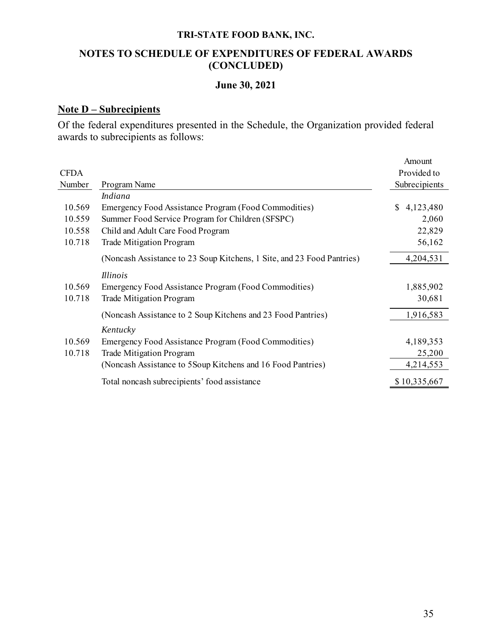# **NOTES TO SCHEDULE OF EXPENDITURES OF FEDERAL AWARDS (CONCLUDED)**

### **June 30, 2021**

### **Note D – Subrecipients**

Of the federal expenditures presented in the Schedule, the Organization provided federal awards to subrecipients as follows:

|             |                                                                        | Amount           |
|-------------|------------------------------------------------------------------------|------------------|
| <b>CFDA</b> |                                                                        | Provided to      |
| Number      | Program Name                                                           | Subrecipients    |
|             | <b>Indiana</b>                                                         |                  |
| 10.569      | Emergency Food Assistance Program (Food Commodities)                   | 4,123,480<br>\$. |
| 10.559      | Summer Food Service Program for Children (SFSPC)                       | 2,060            |
| 10.558      | Child and Adult Care Food Program                                      | 22,829           |
| 10.718      | <b>Trade Mitigation Program</b>                                        | 56,162           |
|             | (Noncash Assistance to 23 Soup Kitchens, 1 Site, and 23 Food Pantries) | 4,204,531        |
|             | <i>Illinois</i>                                                        |                  |
| 10.569      | Emergency Food Assistance Program (Food Commodities)                   | 1,885,902        |
| 10.718      | <b>Trade Mitigation Program</b>                                        | 30,681           |
|             | (Noncash Assistance to 2 Soup Kitchens and 23 Food Pantries)           | 1,916,583        |
|             | Kentucky                                                               |                  |
| 10.569      | Emergency Food Assistance Program (Food Commodities)                   | 4,189,353        |
| 10.718      | <b>Trade Mitigation Program</b>                                        | 25,200           |
|             | (Noncash Assistance to 5Soup Kitchens and 16 Food Pantries)            | 4,214,553        |
|             | Total noncash subrecipients' food assistance                           | \$10,335,667     |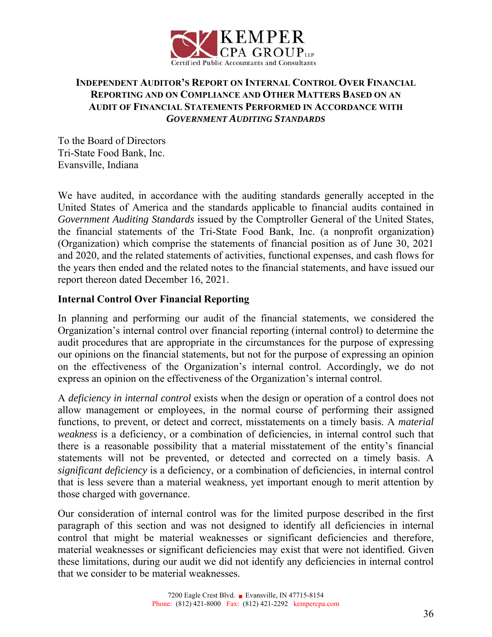

### **INDEPENDENT AUDITOR'S REPORT ON INTERNAL CONTROL OVER FINANCIAL REPORTING AND ON COMPLIANCE AND OTHER MATTERS BASED ON AN AUDIT OF FINANCIAL STATEMENTS PERFORMED IN ACCORDANCE WITH**  *GOVERNMENT AUDITING STANDARDS*

To the Board of Directors Tri-State Food Bank, Inc. Evansville, Indiana

We have audited, in accordance with the auditing standards generally accepted in the United States of America and the standards applicable to financial audits contained in *Government Auditing Standards* issued by the Comptroller General of the United States, the financial statements of the Tri-State Food Bank, Inc. (a nonprofit organization) (Organization) which comprise the statements of financial position as of June 30, 2021 and 2020, and the related statements of activities, functional expenses, and cash flows for the years then ended and the related notes to the financial statements, and have issued our report thereon dated December 16, 2021.

### **Internal Control Over Financial Reporting**

In planning and performing our audit of the financial statements, we considered the Organization's internal control over financial reporting (internal control) to determine the audit procedures that are appropriate in the circumstances for the purpose of expressing our opinions on the financial statements, but not for the purpose of expressing an opinion on the effectiveness of the Organization's internal control. Accordingly, we do not express an opinion on the effectiveness of the Organization's internal control.

A *deficiency in internal control* exists when the design or operation of a control does not allow management or employees, in the normal course of performing their assigned functions, to prevent, or detect and correct, misstatements on a timely basis. A *material weakness* is a deficiency, or a combination of deficiencies, in internal control such that there is a reasonable possibility that a material misstatement of the entity's financial statements will not be prevented, or detected and corrected on a timely basis. A *significant deficiency* is a deficiency, or a combination of deficiencies, in internal control that is less severe than a material weakness, yet important enough to merit attention by those charged with governance.

Our consideration of internal control was for the limited purpose described in the first paragraph of this section and was not designed to identify all deficiencies in internal control that might be material weaknesses or significant deficiencies and therefore, material weaknesses or significant deficiencies may exist that were not identified. Given these limitations, during our audit we did not identify any deficiencies in internal control that we consider to be material weaknesses.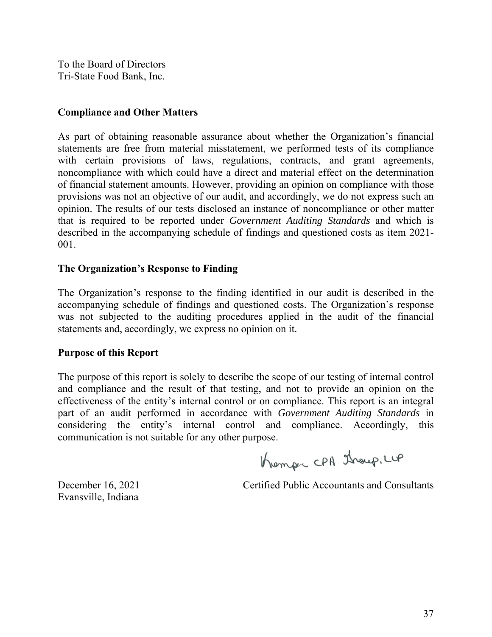To the Board of Directors Tri-State Food Bank, Inc.

### **Compliance and Other Matters**

As part of obtaining reasonable assurance about whether the Organization's financial statements are free from material misstatement, we performed tests of its compliance with certain provisions of laws, regulations, contracts, and grant agreements, noncompliance with which could have a direct and material effect on the determination of financial statement amounts. However, providing an opinion on compliance with those provisions was not an objective of our audit, and accordingly, we do not express such an opinion. The results of our tests disclosed an instance of noncompliance or other matter that is required to be reported under *Government Auditing Standards* and which is described in the accompanying schedule of findings and questioned costs as item 2021- 001.

#### **The Organization's Response to Finding**

The Organization's response to the finding identified in our audit is described in the accompanying schedule of findings and questioned costs. The Organization's response was not subjected to the auditing procedures applied in the audit of the financial statements and, accordingly, we express no opinion on it.

#### **Purpose of this Report**

The purpose of this report is solely to describe the scope of our testing of internal control and compliance and the result of that testing, and not to provide an opinion on the effectiveness of the entity's internal control or on compliance. This report is an integral part of an audit performed in accordance with *Government Auditing Standards* in considering the entity's internal control and compliance. Accordingly, this communication is not suitable for any other purpose.

Kemper CPA though LUP

Evansville, Indiana

December 16, 2021 Certified Public Accountants and Consultants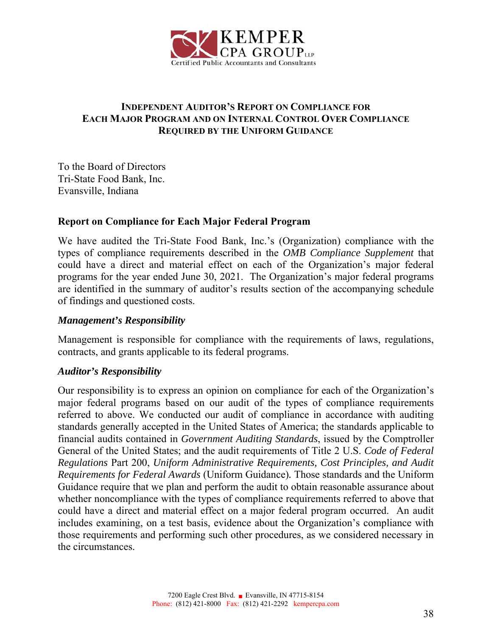

### **INDEPENDENT AUDITOR'S REPORT ON COMPLIANCE FOR EACH MAJOR PROGRAM AND ON INTERNAL CONTROL OVER COMPLIANCE REQUIRED BY THE UNIFORM GUIDANCE**

To the Board of Directors Tri-State Food Bank, Inc. Evansville, Indiana

### **Report on Compliance for Each Major Federal Program**

We have audited the Tri-State Food Bank, Inc.'s (Organization) compliance with the types of compliance requirements described in the *OMB Compliance Supplement* that could have a direct and material effect on each of the Organization's major federal programs for the year ended June 30, 2021. The Organization's major federal programs are identified in the summary of auditor's results section of the accompanying schedule of findings and questioned costs.

### *Management's Responsibility*

Management is responsible for compliance with the requirements of laws, regulations, contracts, and grants applicable to its federal programs.

#### *Auditor's Responsibility*

Our responsibility is to express an opinion on compliance for each of the Organization's major federal programs based on our audit of the types of compliance requirements referred to above. We conducted our audit of compliance in accordance with auditing standards generally accepted in the United States of America; the standards applicable to financial audits contained in *Government Auditing Standards*, issued by the Comptroller General of the United States; and the audit requirements of Title 2 U.S. *Code of Federal Regulations* Part 200, *Uniform Administrative Requirements, Cost Principles, and Audit Requirements for Federal Awards* (Uniform Guidance)*.* Those standards and the Uniform Guidance require that we plan and perform the audit to obtain reasonable assurance about whether noncompliance with the types of compliance requirements referred to above that could have a direct and material effect on a major federal program occurred. An audit includes examining, on a test basis, evidence about the Organization's compliance with those requirements and performing such other procedures, as we considered necessary in the circumstances.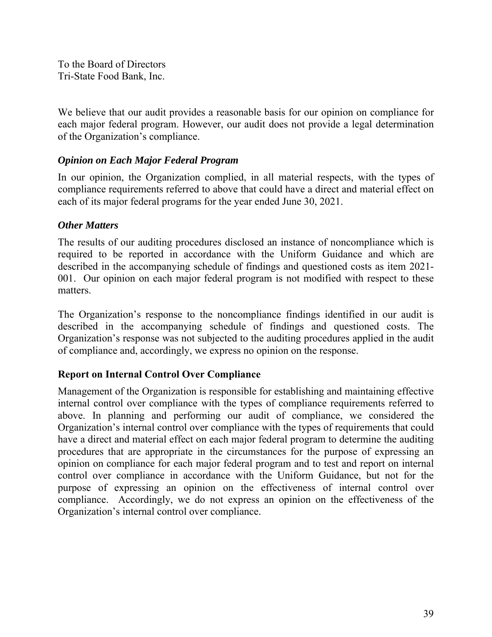To the Board of Directors Tri-State Food Bank, Inc.

We believe that our audit provides a reasonable basis for our opinion on compliance for each major federal program. However, our audit does not provide a legal determination of the Organization's compliance.

### *Opinion on Each Major Federal Program*

In our opinion, the Organization complied, in all material respects, with the types of compliance requirements referred to above that could have a direct and material effect on each of its major federal programs for the year ended June 30, 2021.

### *Other Matters*

The results of our auditing procedures disclosed an instance of noncompliance which is required to be reported in accordance with the Uniform Guidance and which are described in the accompanying schedule of findings and questioned costs as item 2021- 001. Our opinion on each major federal program is not modified with respect to these matters.

The Organization's response to the noncompliance findings identified in our audit is described in the accompanying schedule of findings and questioned costs. The Organization's response was not subjected to the auditing procedures applied in the audit of compliance and, accordingly, we express no opinion on the response.

### **Report on Internal Control Over Compliance**

Management of the Organization is responsible for establishing and maintaining effective internal control over compliance with the types of compliance requirements referred to above. In planning and performing our audit of compliance, we considered the Organization's internal control over compliance with the types of requirements that could have a direct and material effect on each major federal program to determine the auditing procedures that are appropriate in the circumstances for the purpose of expressing an opinion on compliance for each major federal program and to test and report on internal control over compliance in accordance with the Uniform Guidance, but not for the purpose of expressing an opinion on the effectiveness of internal control over compliance. Accordingly, we do not express an opinion on the effectiveness of the Organization's internal control over compliance.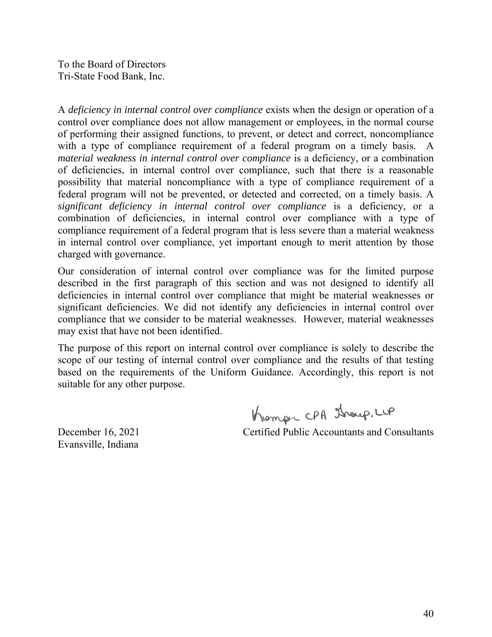To the Board of Directors Tri-State Food Bank, Inc.

A *deficiency in internal control over compliance* exists when the design or operation of a control over compliance does not allow management or employees, in the normal course of performing their assigned functions, to prevent, or detect and correct, noncompliance with a type of compliance requirement of a federal program on a timely basis. A *material weakness in internal control over compliance* is a deficiency, or a combination of deficiencies, in internal control over compliance, such that there is a reasonable possibility that material noncompliance with a type of compliance requirement of a federal program will not be prevented, or detected and corrected, on a timely basis. A *significant deficiency in internal control over compliance* is a deficiency, or a combination of deficiencies, in internal control over compliance with a type of compliance requirement of a federal program that is less severe than a material weakness in internal control over compliance, yet important enough to merit attention by those charged with governance.

Our consideration of internal control over compliance was for the limited purpose described in the first paragraph of this section and was not designed to identify all deficiencies in internal control over compliance that might be material weaknesses or significant deficiencies. We did not identify any deficiencies in internal control over compliance that we consider to be material weaknesses. However, material weaknesses may exist that have not been identified.

The purpose of this report on internal control over compliance is solely to describe the scope of our testing of internal control over compliance and the results of that testing based on the requirements of the Uniform Guidance. Accordingly, this report is not suitable for any other purpose.

Kemper CPA though up

Evansville, Indiana

December 16, 2021 Certified Public Accountants and Consultants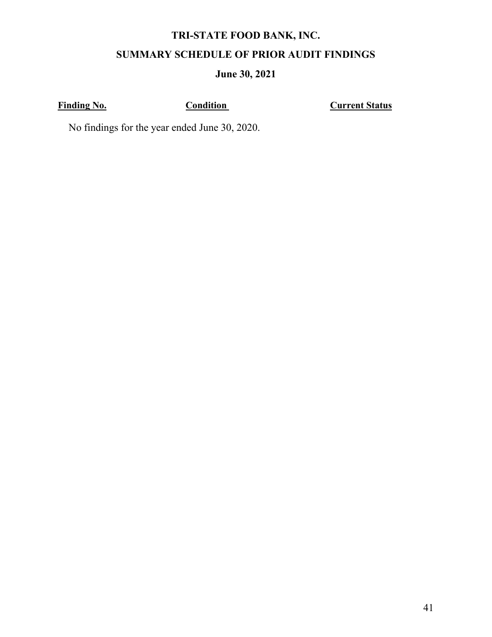# **SUMMARY SCHEDULE OF PRIOR AUDIT FINDINGS**

# **June 30, 2021**

**Finding No.** Condition Condition Current Status

No findings for the year ended June 30, 2020.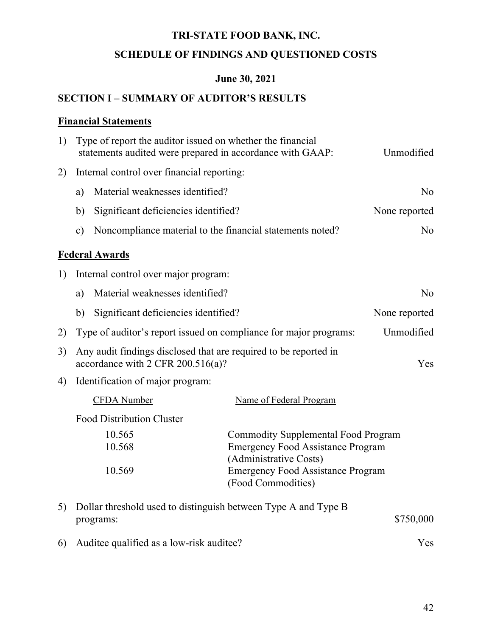# **SCHEDULE OF FINDINGS AND QUESTIONED COSTS**

# **June 30, 2021**

# **SECTION I – SUMMARY OF AUDITOR'S RESULTS**

### **Financial Statements**

| 1) | Type of report the auditor issued on whether the financial<br>statements audited were prepared in accordance with GAAP: |                       |                                                                                                                  | Unmodified    |
|----|-------------------------------------------------------------------------------------------------------------------------|-----------------------|------------------------------------------------------------------------------------------------------------------|---------------|
| 2) | Internal control over financial reporting:                                                                              |                       |                                                                                                                  |               |
|    | Material weaknesses identified?<br>a)                                                                                   |                       | No                                                                                                               |               |
|    | Significant deficiencies identified?<br>b)                                                                              |                       | None reported                                                                                                    |               |
|    | Noncompliance material to the financial statements noted?<br>$\mathbf{c})$                                              |                       | No                                                                                                               |               |
|    |                                                                                                                         | <b>Federal Awards</b> |                                                                                                                  |               |
| 1) | Internal control over major program:                                                                                    |                       |                                                                                                                  |               |
|    | Material weaknesses identified?<br>a)                                                                                   |                       | No                                                                                                               |               |
|    | Significant deficiencies identified?<br>b)                                                                              |                       |                                                                                                                  | None reported |
| 2) | Type of auditor's report issued on compliance for major programs:                                                       |                       |                                                                                                                  | Unmodified    |
| 3) | Any audit findings disclosed that are required to be reported in<br>accordance with 2 CFR 200.516(a)?                   |                       |                                                                                                                  | Yes           |
| 4) | Identification of major program:                                                                                        |                       |                                                                                                                  |               |
|    |                                                                                                                         | <b>CFDA</b> Number    | Name of Federal Program                                                                                          |               |
|    | <b>Food Distribution Cluster</b>                                                                                        |                       |                                                                                                                  |               |
|    | 10.565<br>10.568                                                                                                        |                       | <b>Commodity Supplemental Food Program</b><br><b>Emergency Food Assistance Program</b><br>(Administrative Costs) |               |
|    |                                                                                                                         | 10.569                | <b>Emergency Food Assistance Program</b><br>(Food Commodities)                                                   |               |
| 5) | Dollar threshold used to distinguish between Type A and Type B<br>programs:                                             |                       |                                                                                                                  | \$750,000     |
| 6) | Auditee qualified as a low-risk auditee?                                                                                |                       | Yes                                                                                                              |               |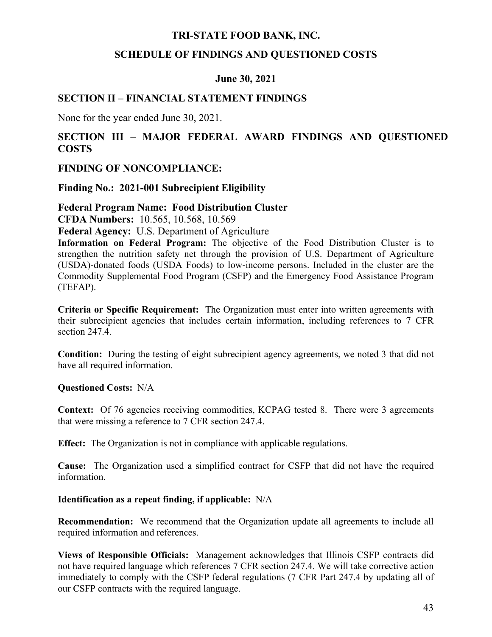#### **SCHEDULE OF FINDINGS AND QUESTIONED COSTS**

#### **June 30, 2021**

#### **SECTION II – FINANCIAL STATEMENT FINDINGS**

None for the year ended June 30, 2021.

### **SECTION III – MAJOR FEDERAL AWARD FINDINGS AND QUESTIONED COSTS**

#### **FINDING OF NONCOMPLIANCE:**

**Finding No.: 2021-001 Subrecipient Eligibility** 

**Federal Program Name: Food Distribution Cluster** 

**CFDA Numbers:** 10.565, 10.568, 10.569

**Federal Agency:** U.S. Department of Agriculture

**Information on Federal Program:** The objective of the Food Distribution Cluster is to strengthen the nutrition safety net through the provision of U.S. Department of Agriculture (USDA)-donated foods (USDA Foods) to low-income persons. Included in the cluster are the Commodity Supplemental Food Program (CSFP) and the Emergency Food Assistance Program (TEFAP).

**Criteria or Specific Requirement:** The Organization must enter into written agreements with their subrecipient agencies that includes certain information, including references to 7 CFR section 247.4.

**Condition:** During the testing of eight subrecipient agency agreements, we noted 3 that did not have all required information.

**Questioned Costs:** N/A

**Context:** Of 76 agencies receiving commodities, KCPAG tested 8. There were 3 agreements that were missing a reference to 7 CFR section 247.4.

**Effect:** The Organization is not in compliance with applicable regulations.

**Cause:** The Organization used a simplified contract for CSFP that did not have the required information.

#### **Identification as a repeat finding, if applicable:** N/A

**Recommendation:** We recommend that the Organization update all agreements to include all required information and references.

**Views of Responsible Officials:** Management acknowledges that Illinois CSFP contracts did not have required language which references 7 CFR section 247.4. We will take corrective action immediately to comply with the CSFP federal regulations (7 CFR Part 247.4 by updating all of our CSFP contracts with the required language.